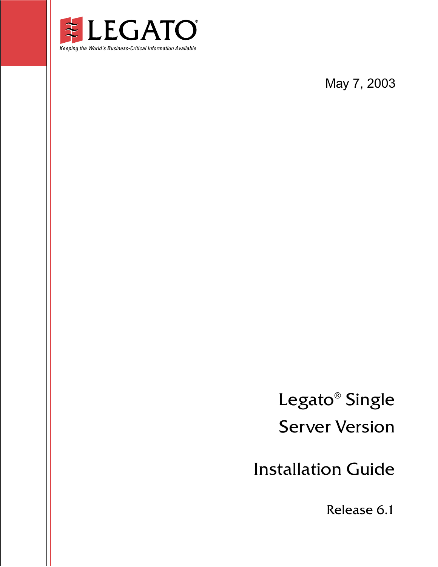

May 7, 2003

Legato® Single Server Version

Installation Guide

Release 6.1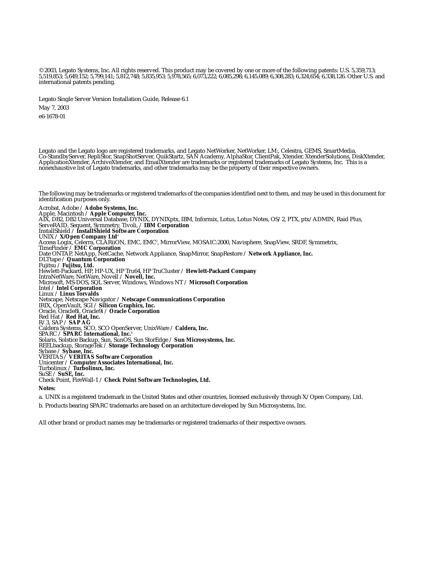© 2003, Legato Systems, Inc. All rights reserved. This product may be covered by one or more of the following patents: U.S. 5,359,713; 5,519,853; 5,649,152; 5,799,141; 5,812,748; 5,835,953; 5,978,565; 6,073,222; 6,085,298; 6,145,089; 6,308,283; 6,324,654; 6,338,126. Other U.S. and international patents pending.

Legato Single Server Version Installation Guide, Release 6.1 May 7, 2003

e6-1678-01

Legato and the Legato logo are registered trademarks, and Legato NetWorker, NetWorker, LM:, Celestra, GEMS, SmartMedia, Co-StandbyServer, RepliStor, SnapShotServer, QuikStartz, SAN Academy, AlphaStor, ClientPak, Xtender, XtenderSolutions, DiskXtender, ApplicationXtender, ArchiveXtender, and EmailXtender are trademarks or registered trademarks of Legato Systems, Inc. This is a nonexhaustive list of Legato trademarks, and other trademarks may be the property of their respective owners.

The following may be trademarks or registered trademarks of the companies identified next to them, and may be used in this document for identification purposes only. Acrobat, Adobe / **Adobe Systems, Inc.**

Apple, Macintosh / **Apple Computer, Inc.** AIX, DB2, DB2 Universal Database, DYNIX, DYNIXptx, IBM, Informix, Lotus, Lotus Notes, OS/2, PTX, ptx/ADMIN, Raid Plus, ServeRAID, Sequent, Symmetry, Tivoli, / **IBM Corporation** InstallShield / **InstallShield Software Corporation** UNIX / **X/Open Company Ltd**<sup>a</sup> Access Logix, Celerra, CLARiiON, EMC, EMC<sup>2</sup>, MirrorView, MOSAIC:2000, Navisphere, SnapView, SRDF, Symmetrix,<br>TimeFinder / **EMC Corporation** Date ONTAP, NetApp, NetCache, Network Appliance, SnapMirror, SnapRestore / **Network Appliance, Inc.** DLTtape / **Quantum Corporation** Fujitsu / **Fujitsu, Ltd.** Hewlett-Packard, HP, HP-UX, HP Tru64, HP TruCluster / **Hewlett-Packard Company** IntraNetWare, NetWare, Novell / **Novell, Inc.** Microsoft, MS-DOS, SQL Server, Windows, Windows NT / **Microsoft Corporation** Intel / **Intel Corporation** Linux / **Linus Torvalds** Netscape, Netscape Navigator / **Netscape Communications Corporation** IRIX, OpenVault, SGI / **Silicon Graphics, Inc.** Oracle, Oracle8i, Oracle9i / **Oracle Corporation** Red Hat / **Red Hat, Inc.** R/3, SAP / **SAP AG** Caldera Systems, SCO, SCO OpenServer, UnixWare / **Caldera, Inc.** SPARC / **SPARC International, Inc.**<sup>b</sup> Solaris, Solstice Backup, Sun, SunOS, Sun StorEdge / **Sun Microsystems, Inc.** REELbackup, StorageTek / **Storage Technology Corporation** Sybase / **Sybase, Inc.** VERITAS / **VERITAS Software Corporation** Unicenter / **Computer Associates International, Inc.** Turbolinux / **Turbolinux, Inc.** SuSE / **SuSE, Inc.** Check Point, FireWall-1 / **Check Point Software Technologies, Ltd. Notes:**

a. UNIX is a registered trademark in the United States and other countries, licensed exclusively through X/Open Company, Ltd.

b. Products bearing SPARC trademarks are based on an architecture developed by Sun Microsystems, Inc.

All other brand or product names may be trademarks or registered trademarks of their respective owners.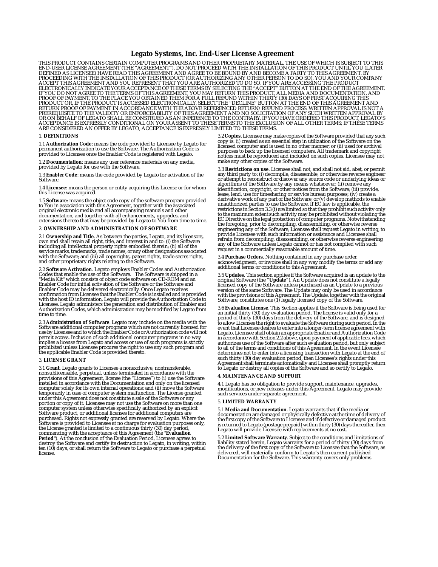### **Legato Systems, Inc. End-User License Agreement**

THIS PRODUCT CONTAINS CERTAIN COMPUTER PROGRAMS AND OTHER PROPRIETARY MATERIAL, THE USE OF WHICH IS SUBJECT TO THIS<br>END-USER LICENSE AGREEMENT (THE "AGREEMENT"). DO NOT PROCEED WITH THE INSTALLATION OF THIS PRODUCT UNTIL Y

### 1. **DEFINITIONS**

1.1 **Authorization Code**: means the code provided to Licensee by Legato for permanent authorization to use the Software. The Authorization Code is provided to Licensee once the Enabler Code is registered with Legato.

1.2 **Documentation**: means any user reference materials on any media, provided by Legato for use with the Software.

1.3 **Enabler Code**: means the code provided by Legato for activation of the Software.

1.4 **Licensee**: means the person or entity acquiring this License or for whom this License was acquired.

1.5 **Software**: means the object code copy of the software program provided to You in association with this Agreement, together with the associated original electronic media and all accompanying manuals and other documentation, and together with all enhancements, upgrades, and extensions thereto that may be provided by Legato to You from time to time.

### 2. **OWNERSHIP AND ADMINISTRATION OF SOFTWARE**

2.1 **Ownership and Title**. As between the parties, Legato, and its licensors,<br>own and shall retain all right, title, and interest in and to: (i) the Software<br>including all intellectual property rights embodied therein; (ii with the Software; and (iii) all copyrights, patent rights, trade secret rights, and other proprietary rights relating to the Software.

2.2 **Software Activation**. Legato employs Enabler Codes and Authorization Codes that enable the use of the Software. The Software is shipped in a 'Media Kit" which consists of object code software on CD-ROM and an Enabler Code for initial activation of the Software or the Software and Enabler Code may be delivered electronically. Once Legato receives confirmation from Licensee that the Enabler Code is installed and is provided with the host ID information, Legato will provide the Authorization Code to Licensee. Legato administers the generation and distribution of Enabler and Authorization Codes, which administration may be modified by Legato from time to time.

2.3 **Administration of Software**. Legato may include on the media with the<br>Software additional computer programs which are not currently licensed for<br>use by Licensee and to which the Enabler Code or Authorization code will permit access. Inclusion of such additional computer programs in no way<br>implies a license from Legato and access or use of such programs is strictly<br>prohibited unless Licensee procures the right to use any such program and the applicable Enabler Code is provided thereto.

### 3. **LICENSE GRANT**

3.1 **Grant**. Legato grants to Licensee a nonexclusive, nontransferable,<br>nonsublicensable, perpetual, unless terminated in accordance with the<br>provisions of this Agreement, license (the "License") to (i) use the Software<br>in computer solely for its own internal operations; and (ii) move the Software temporarily in case of computer system malfunction. The License granted under this Agreement does not constitute a sale of the Software or any portion or copy of it. Licensee may not use the Software on more than one computer system unless otherwise specifically authorized by an explicit<br>Software product, or additional licenses for additional computers are<br>purchased. Rights not expressly granted are reserved by Legato. Where the<br>Softwa the License granted is limited to a continuous thirty (30) day period,<br>commencing with the acceptance of this Agreement (the "Ev**aluation**<br>**Period**"). At the conclusion of the Evaluation Period, Licensee agrees to destroy the Software and certify its destruction to Legato, in writing, within ten (10) days, or shall return the Software to Legato or purchase a perpetual license.

3.2 **Copies**. Licensee may make copies of the Software provided that any such copy is: (i) created as an essential step in utilization of the Software on the licensed computer and is used in no other manner; or (ii) used for archival purposes to back up the licensed computers. All trademark and copyright notices must be reproduced and included on such copies. Licensee may not make any other copies of the Software.

3.3 **Restrictions on use**. Licensee shall not, and shall not aid, abet, or permit<br>any third party to: (i) decompile, disassemble, or otherwise reverse engineer<br>or attempt to reconstruct or discover any source code or under identification, copyright, or other notices from the Software; (iii) provide, lease, lend, use for timesharing or service bureau purposes; (iv) create a derivative work of any part of the Software; or (v) develop methods to enable unauthorized parties to use the Software. If EC law is applicable, the<br>restrictions in Section 3.3 (i) are limited so that they prohibit such activity only<br>to the maximum extent such activity may be prohibited without viol EC Directive on the legal protection of computer programs. Notwithstanding<br>the foregoing, prior to decompiling, disassembling, or otherwise reverse<br>engineering any of the Software, Licensee shall request Legato in writing, refrain from decompiling, disassembling, or otherwise reverse engineering any of the Software unless Legato cannot or has not complied with such request in a commercially reasonable amount of time.

3.4 **Purchase Orders**. Nothing contained in any purchase order, acknowledgment, or invoice shall in any way modify the terms or add any additional terms or conditions to this Agreement.

3.5 **Updates**. This section applies if the Software acquired is an update to the<br>original Software (the "**Update**"). An Update does not constitute a legally<br>licensed copy of the Software unless purchased as an Update to a version of the same Software. The Update may only be used in accordance with the provisions of this Agreement. The Update, together with the original Software, constitutes one (1) legally licensed copy of the Software.

3.6 **Evaluation License**. This Section applies if the Software is being used for<br>an initial thirty (30) day evaluation period. The license is valid only for a<br>period of thirty (30) days from the delivery of the Software, a event that Licensee desires to enter into a longer-term license agreement with<br>Legato, Licensee shall obtain an appropriate Enabler and Authorization Code<br>in accordance with Section 2.2 above, upon payment of applicable fe Agreement shall terminate automatically and Licensee shall promptly return to Legato or destroy all copies of the Software and so certify to Legato.

### 4. **MAINTENANCE AND SUPPORT**

4.1 Legato has no obligation to provide support, maintenance, upgrades, modifications, or new releases under this Agreement. Legato may provide such services under separate agreement.

### 5. **LIMITED WARRANTY**

5.1 **Media and Documentation**. Legato warrants that if the media or documentation are damaged or physically defective at the time of delivery of<br>the first copy of the Software to Licensee and if defective or damaged product<br>is returned to Legato (postage prepaid) within thirty (30) days th Legato will provide Licensee with replacements at no cost.

5.2 **Limited Software Warranty**. Subject to the conditions and limitations of liability stated herein, Legato warrants for a period of thirty (30) days from<br>the delivery of the first copy of the Software to Licensee that the Software, as<br>delivered, will materially conform to Legato's then current pu Documentation for the Software. This warranty covers only problems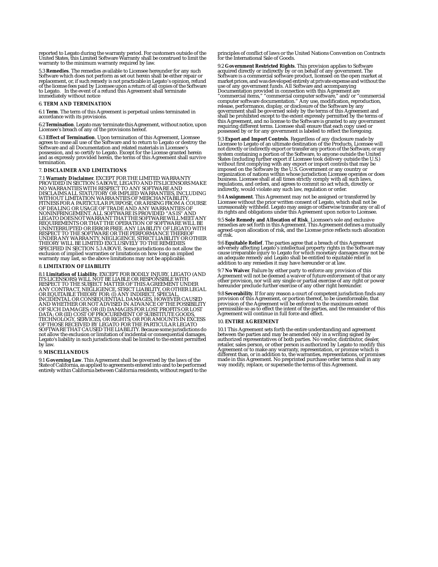reported to Legato during the warranty period. For customers outside of the United States, this Limited Software Warranty shall be construed to limit the warranty to the minimum warranty required by law.

5.3 **Remedies**. The remedies available to Licensee hereunder for any such<br>Software which does not perform as set out herein shall be either repair or<br>replacement, or, if such remedy is not practicable in Legato's opinion, of the license fees paid by Licensee upon a return of all copies of the Software to Legato. In the event of a refund this Agreement shall terminate immediately without notice

### 6. **TERM AND TERMINATION**

6.1 **Term**. The term of this Agreement is perpetual unless terminated in accordance with its provisions.

6.2 **Termination**. Legato may terminate this Agreement, without notice, upon Licensee's breach of any of the provisions hereof.

6.3 **Effect of Termination**. Upon termination of this Agreement, Licensee<br>agrees to cease all use of the Software and to return to Legato or destroy the<br>Software and all Documentation and related materials in Licensee's possession, and so certify to Legato. Except for the License granted herein and as expressly provided herein, the terms of this Agreement shall survive termination.

### 7. **DISCLAIMER AND LIMITATIONS**

7.1 **Warranty Disclaimer**. EXCEPT FOR THE LIMITED WARRANTY<br>PROVIDED IN SECTION 5 ABOVE, LEGATO AND ITS LICENSORS MAKE<br>NO WARRANTIES WITH RESPECT TO ANY SOFTWARE AND **NO WARRANTIE WATTLIED OR IMPLIED WARRANTIES, INCLUDING WITHOUT LIMITATION WARRANTIES OF MERCHANTABILITY,** WITHOUT LIMITATION WARRANTIES OF MERCHANTABILITY,<br>FITNESS FOR A PARTICULAR PURPOSE, OR ARISING FROM A COURSE<br>FITNESS FOR A PARTICULAR PURPOSE, OR ARISING FROM A CON<br>NONINFRINGEMENT. ALL SOFTWARE IS PROVIDED "AS IS" AND<br>LEG exclusion of implied warranties or limitations on how long an implied warranty may last, so the above limitations may not be applicable.

### 8. **LIMITATION OF LIABILITY**

8.1 **Limitation of Liability**. EXCEPT FOR BODILY INJURY, LEGATO (AND ITS LICENSORS) WILL NOT BE LIABLE OR RESPONSIBLE WITH<br>RESPECT TO THE SUBJECT MATTER OF THIS AGREEMENT UNDER<br>ANY CONTRACT, NEGLIGENCE, STRICT LIABILITY, OR OTHER LEGAL OR EQUITABLE THEORY FOR: (I) ANY INDIRECT, SPECIAL,<br>INCIDENTAL OR CONSEQUENTIAL DAMAGES, HOWEVER CAUSED<br>AND WHETHER OR NOT ADVISED IN ADVANCE OF THE POSSIBILITY OF SUCH DAMAGES; OR (II) DAMAGES FOR LOST PROFITS OR LOST<br>DATA; OR (III) COST OF PROCUREMENT OF SUBSTITUTE GOODS,<br>TECHNOLOGY, SERVICES, OR RIGHTS; OR FOR AMOUNTS IN EXCESS OF THOSE RECEIVED BY LEGATO FOR THE PARTICULAR LEGATO<br>SOFTWARE THAT CAUSED THE LIABILITY. Because some jurisdictions do<br>not allow the exclusion or limitation of incidental or consequential damages, Legato's liability in such jurisdictions shall be limited to the extent permitted by law.

### 9. **MISCELLANEOUS**

9.1 **Governing Law**. This Agreement shall be governed by the laws of the State of California, as applied to agreements entered into and to be performed entirely within California between California residents, without regard to the principles of conflict of laws or the United Nations Convention on Contracts for the International Sale of Goods.

9.2 **Government Restricted Rights**. This provision applies to Software acquired directly or indirectly by or on behalf of any government. The<br>Software is a commercial software product, licensed on the open market at<br>market prices, and was developed entirely at private expense and without the use of any government funds. All Software and accompanying<br>Documentation provided in connection with this Agreement are<br>"commercial items," "commercial computer software," and/or "commercial<br>computer software documentation shall be prohibited except to the extent expressly permitted by the terms of<br>this Agreement, and no license to the Software is granted to any government<br>requiring different terms. Licensee shall ensure that each copy used possessed by or for any government is labeled to reflect the foregoing.

9.3 **Export and Import Controls**. Regardless of any disclosure made by<br>Licensee to Legato of an ultimate destination of the Products, Licensee will<br>not directly or indirectly export or transfer any portion of the Software, indirectly, would violate any such law, regulation or order.

9.4 **Assignment**. This Agreement may not be assigned or transferred by Licensee without the prior written consent of Legato, which shall not be<br>unreasonably withheld. Legato may assign or otherwise transfer any or all of<br>its rights and obligations under this Agreement upon notice to Licensee.

9.5 **Sole Remedy and Allocation of Risk**. Licensee's sole and exclusive remedies are set forth in this Agreement. This Agreement defines a mutually agreed-upon allocation of risk, and the License price reflects such allocation of risk.

9.6 **Equitable Relief**. The parties agree that a breach of this Agreement<br>adversely affecting Legato's intellectual property rights in the Software may<br>cause irreparable injury to Legato for which monetary damages may not an adequate remedy and Legato shall be entitled to equitable relief in addition to any remedies it may have hereunder or at law.

9.7 **No Waiver**. Failure by either party to enforce any provision of this<br>Agreement will not be deemed a waiver of future enforcement of that or any<br>other provision, nor will any single or partial exercise of any right or

9.8 **Severability**. If for any reason a court of competent jurisdiction finds any provision of this Agreement, or portion thereof, to be unenforceable, that<br>provision of the Agreement will be enforced to the maximum extent<br>permissible so as to effect the intent of the parties, and the remainder of this Agreement will continue in full force and effect.

### 10. **ENTIRE AGREEMENT**

10.1 This Agreement sets forth the entire understanding and agreement between the parties and may be amended only in a writing signed by authorized representatives of both parties. No vendor, distributor, dealer,<br>retailer, sales person, or other person is authorized by Legato to modify this<br>Agreement or to make any warranty, representation, or promise which different than, or in addition to, the warranties, representations, or promises made in this Agreement. No preprinted purchase order terms shall in any way modify, replace, or supersede the terms of this Agreement.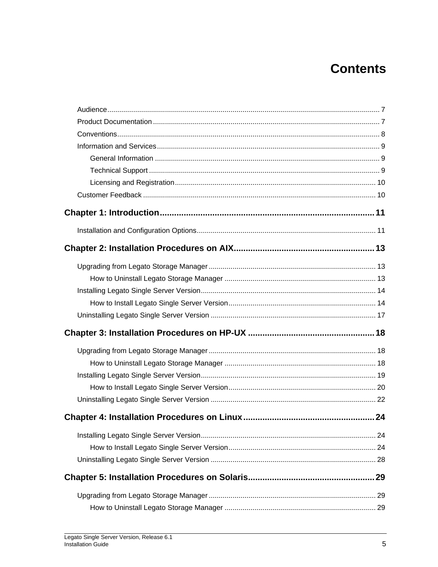# **Contents**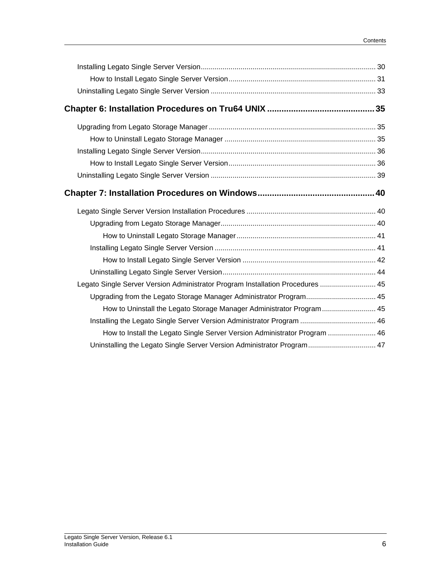| Legato Single Server Version Administrator Program Installation Procedures  45 |  |
|--------------------------------------------------------------------------------|--|
| Upgrading from the Legato Storage Manager Administrator Program 45             |  |
| How to Uninstall the Legato Storage Manager Administrator Program 45           |  |
| Installing the Legato Single Server Version Administrator Program  46          |  |
| How to Install the Legato Single Server Version Administrator Program  46      |  |
| Uninstalling the Legato Single Server Version Administrator Program 47         |  |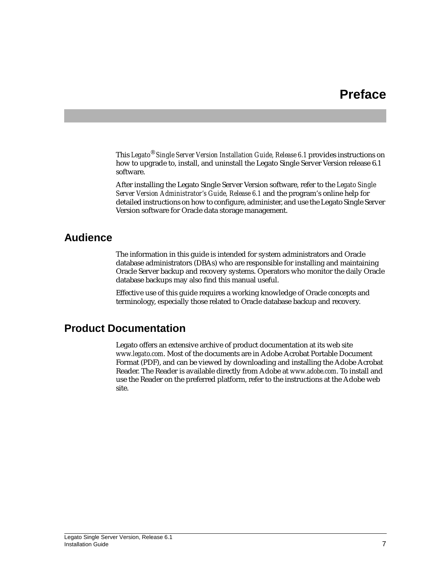# **Preface**

This *Legato*® *Single Server Version Installation Guide, Release 6.1* provides instructions on how to upgrade to, install, and uninstall the Legato Single Server Version release 6.1 software.

After installing the Legato Single Server Version software, refer to the *Legato Single Server Version Administrator's Guide, Release 6.1* and the program's online help for detailed instructions on how to configure, administer, and use the Legato Single Server Version software for Oracle data storage management.

# <span id="page-6-0"></span>**Audience**

The information in this guide is intended for system administrators and Oracle database administrators (DBAs) who are responsible for installing and maintaining Oracle Server backup and recovery systems. Operators who monitor the daily Oracle database backups may also find this manual useful.

Effective use of this guide requires a working knowledge of Oracle concepts and terminology, especially those related to Oracle database backup and recovery.

# <span id="page-6-1"></span>**Product Documentation**

Legato offers an extensive archive of product documentation at its web site *www.legato.com*. Most of the documents are in Adobe Acrobat Portable Document Format (PDF), and can be viewed by downloading and installing the Adobe Acrobat Reader. The Reader is available directly from Adobe at *www.adobe.com*. To install and use the Reader on the preferred platform, refer to the instructions at the Adobe web site.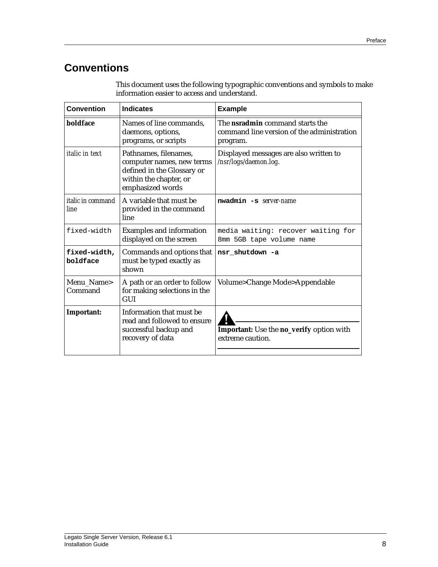# <span id="page-7-0"></span>**Conventions**

| <b>Convention</b>                | <b>Indicates</b>                                                                                                               | <b>Example</b>                                                                                   |
|----------------------------------|--------------------------------------------------------------------------------------------------------------------------------|--------------------------------------------------------------------------------------------------|
| boldface                         | Names of line commands,<br>daemons, options,<br>programs, or scripts                                                           | The <b>nsradmin</b> command starts the<br>command line version of the administration<br>program. |
| <i>italic in text</i>            | Pathnames, filenames,<br>computer names, new terms<br>defined in the Glossary or<br>within the chapter, or<br>emphasized words | Displayed messages are also written to<br>/nsr/logs/daemon.log.                                  |
| <i>italic in command</i><br>line | A variable that must be<br>provided in the command<br>line                                                                     | nwadmin -s server-name                                                                           |
| fixed-width                      | <b>Examples and information</b><br>displayed on the screen                                                                     | media waiting: recover waiting for<br>8mm 5GB tape volume name                                   |
| fixed-width,<br>boldface         | Commands and options that<br>must be typed exactly as<br>shown                                                                 | nsr shutdown -a                                                                                  |
| Menu Name><br>Command            | A path or an order to follow<br>for making selections in the<br><b>GUI</b>                                                     | Volume>Change Mode>Appendable                                                                    |
| Important:                       | Information that must be<br>read and followed to ensure<br>successful backup and<br>recovery of data                           | Important: Use the no_verify option with<br>extreme caution.                                     |

This document uses the following typographic conventions and symbols to make information easier to access and understand.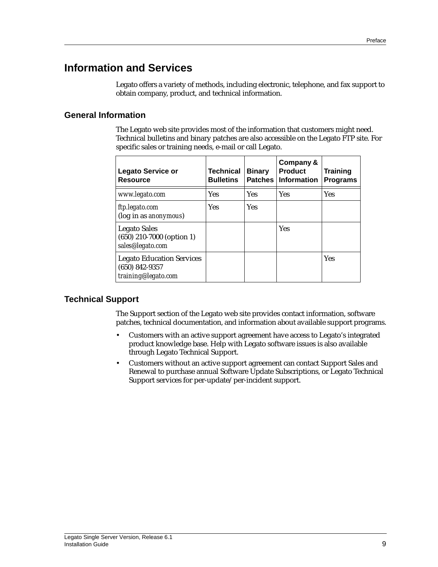# <span id="page-8-0"></span>**Information and Services**

Legato offers a variety of methods, including electronic, telephone, and fax support to obtain company, product, and technical information.

## <span id="page-8-1"></span>**General Information**

The Legato web site provides most of the information that customers might need. Technical bulletins and binary patches are also accessible on the Legato FTP site. For specific sales or training needs, e-mail or call Legato.

| <b>Legato Service or</b><br><b>Resource</b>                                 | <b>Technical</b><br><b>Bulletins</b> | <b>Binary</b><br><b>Patches</b> | Company &<br><b>Product</b><br><b>Information</b> | <b>Training</b><br><b>Programs</b> |
|-----------------------------------------------------------------------------|--------------------------------------|---------------------------------|---------------------------------------------------|------------------------------------|
| www.legato.com                                                              | <b>Yes</b>                           | Yes                             | <b>Yes</b>                                        | Yes                                |
| ftp.legato.com<br>(log in as anonymous)                                     | <b>Yes</b>                           | <b>Yes</b>                      |                                                   |                                    |
| <b>Legato Sales</b><br>$(650)$ 210-7000 (option 1)<br>sales@legato.com      |                                      |                                 | <b>Yes</b>                                        |                                    |
| <b>Legato Education Services</b><br>$(650)$ 842-9357<br>training@legato.com |                                      |                                 |                                                   | <b>Yes</b>                         |

### <span id="page-8-2"></span>**Technical Support**

The Support section of the Legato web site provides contact information, software patches, technical documentation, and information about available support programs.

- Customers with an active support agreement have access to Legato's integrated product knowledge base. Help with Legato software issues is also available through Legato Technical Support.
- Customers without an active support agreement can contact Support Sales and Renewal to purchase annual Software Update Subscriptions, or Legato Technical Support services for per-update/per-incident support.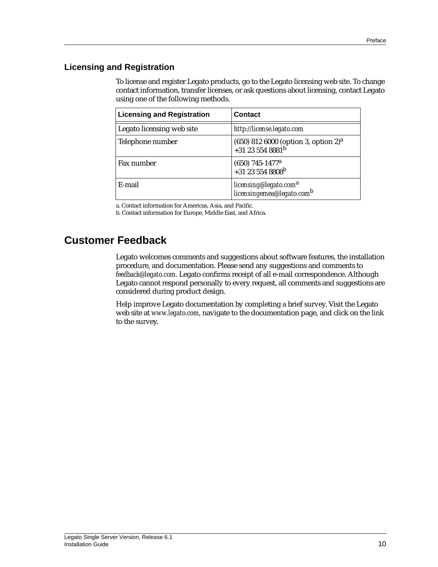## <span id="page-9-0"></span>**Licensing and Registration**

To license and register Legato products, go to the Legato licensing web site. To change contact information, transfer licenses, or ask questions about licensing, contact Legato using one of the following methods.

| <b>Licensing and Registration</b> | <b>Contact</b>                                                                     |
|-----------------------------------|------------------------------------------------------------------------------------|
| Legato licensing web site         | http://license.legato.com                                                          |
| Telephone number                  | $(650)$ 812 6000 (option 3, option 2) <sup>a</sup><br>+31 23 554 8881 <sup>b</sup> |
| Fax number                        | $(650)$ 745-1477 <sup>a</sup><br>+31 23 554 8808 <sup>b</sup>                      |
| E-mail                            | licensing@legato.com <sup>a</sup><br>licensingemea@legato.com <sup>b</sup>         |

a. Contact information for Americas, Asia, and Pacific.

b. Contact information for Europe, Middle East, and Africa.

# <span id="page-9-1"></span>**Customer Feedback**

Legato welcomes comments and suggestions about software features, the installation procedure, and documentation. Please send any suggestions and comments to *feedback@legato.com*. Legato confirms receipt of all e-mail correspondence. Although Legato cannot respond personally to every request, all comments and suggestions are considered during product design.

Help improve Legato documentation by completing a brief survey. Visit the Legato web site at *www.legato.com*, navigate to the documentation page, and click on the link to the survey.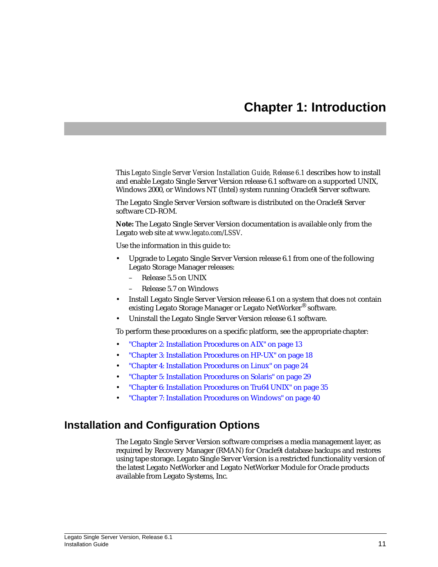# **Chapter 1: Introduction**

<span id="page-10-0"></span>This *Legato Single Server Version Installation Guide, Release 6.1* describes how to install and enable Legato Single Server Version release 6.1 software on a supported UNIX, Windows 2000, or Windows NT (Intel) system running Oracle9i Server software.

The Legato Single Server Version software is distributed on the Oracle9i Server software CD-ROM.

**Note:** The Legato Single Server Version documentation is available only from the Legato web site at *www.legato.com/LSSV*.

Use the information in this guide to:

- Upgrade to Legato Single Server Version release 6.1 from one of the following Legato Storage Manager releases:
	- Release 5.5 on UNIX
	- Release 5.7 on Windows
- Install Legato Single Server Version release 6.1 on a system that does *not* contain existing Legato Storage Manager or Legato NetWorker® software.
- Uninstall the Legato Single Server Version release 6.1 software.

To perform these procedures on a specific platform, see the appropriate chapter:

- ["Chapter 2: Installation Procedures on AIX" on page 13](#page-12-3)
- ["Chapter 3: Installation Procedures on HP-UX" on page 18](#page-17-3)
- ["Chapter 4: Installation Procedures on Linux" on page 24](#page-23-3)
- ["Chapter 5: Installation Procedures on Solaris" on page 29](#page-28-3)
- ["Chapter 6: Installation Procedures on Tru64 UNIX" on page 35](#page-34-3)
- ["Chapter 7: Installation Procedures on Windows" on page 40](#page-39-3)

## <span id="page-10-1"></span>**Installation and Configuration Options**

The Legato Single Server Version software comprises a media management layer, as required by Recovery Manager (RMAN) for Oracle9i database backups and restores using tape storage. Legato Single Server Version is a restricted functionality version of the latest Legato NetWorker and Legato NetWorker Module for Oracle products available from Legato Systems, Inc.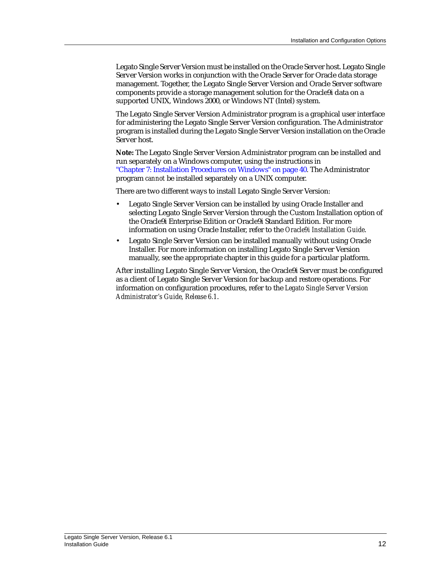Legato Single Server Version must be installed on the Oracle Server host. Legato Single Server Version works in conjunction with the Oracle Server for Oracle data storage management. Together, the Legato Single Server Version and Oracle Server software components provide a storage management solution for the Oracle9i data on a supported UNIX, Windows 2000, or Windows NT (Intel) system.

The Legato Single Server Version Administrator program is a graphical user interface for administering the Legato Single Server Version configuration. The Administrator program is installed during the Legato Single Server Version installation on the Oracle Server host.

**Note:** The Legato Single Server Version Administrator program can be installed and run separately on a Windows computer, using the instructions in ["Chapter 7: Installation Procedures on Windows" on page 40](#page-39-3). The Administrator program *cannot* be installed separately on a UNIX computer.

There are two different ways to install Legato Single Server Version:

- Legato Single Server Version can be installed by using Oracle Installer and selecting Legato Single Server Version through the Custom Installation option of the Oracle9i Enterprise Edition or Oracle9i Standard Edition. For more information on using Oracle Installer, refer to the *Oracle9i Installation Guide*.
- Legato Single Server Version can be installed manually without using Oracle Installer. For more information on installing Legato Single Server Version manually, see the appropriate chapter in this guide for a particular platform.

After installing Legato Single Server Version, the Oracle9i Server must be configured as a client of Legato Single Server Version for backup and restore operations. For information on configuration procedures, refer to the *Legato Single Server Version Administrator's Guide, Release 6.1*.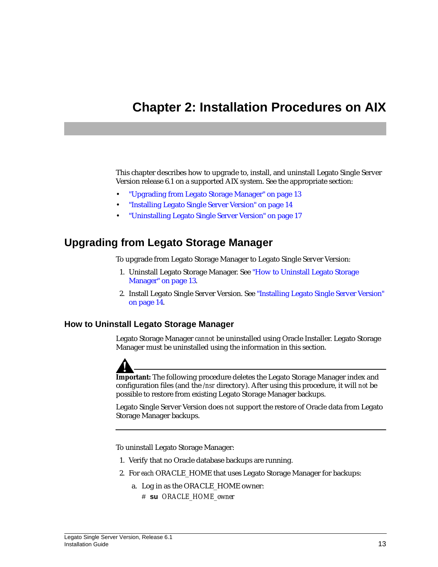# <span id="page-12-3"></span><span id="page-12-0"></span>**Chapter 2: Installation Procedures on AIX**

This chapter describes how to upgrade to, install, and uninstall Legato Single Server Version release 6.1 on a supported AIX system. See the appropriate section:

- ["Upgrading from Legato Storage Manager" on page 13](#page-12-1)
- ["Installing Legato Single Server Version" on page 14](#page-13-0)
- ["Uninstalling Legato Single Server Version" on page 17](#page-16-0)

## <span id="page-12-1"></span>**Upgrading from Legato Storage Manager**

To upgrade from Legato Storage Manager to Legato Single Server Version:

- 1. Uninstall Legato Storage Manager. See ["How to Uninstall Legato Storage](#page-12-2) [Manager" on page 13](#page-12-2).
- 2. Install Legato Single Server Version. See ["Installing Legato Single Server Version"](#page-13-0) [on page 14.](#page-13-0)

### <span id="page-12-2"></span>**How to Uninstall Legato Storage Manager**

Legato Storage Manager *cannot* be uninstalled using Oracle Installer. Legato Storage Manager must be uninstalled using the information in this section.



**Important:** The following procedure deletes the Legato Storage Manager index and configuration files (and the */nsr* directory). After using this procedure, it will *not* be possible to restore from existing Legato Storage Manager backups.

Legato Single Server Version does *not* support the restore of Oracle data from Legato Storage Manager backups.

To uninstall Legato Storage Manager:

- 1. Verify that no Oracle database backups are running.
- 2. For *each* ORACLE\_HOME that uses Legato Storage Manager for backups:
	- a. Log in as the ORACLE\_HOME owner:
		- # **su** *ORACLE\_HOME\_owner*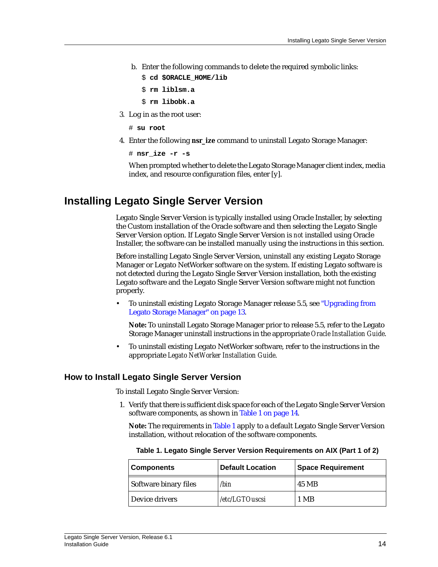b. Enter the following commands to delete the required symbolic links:

```
$ cd $ORACLE_HOME/lib
```

```
$ rm liblsm.a
```

```
$ rm libobk.a
```
- 3. Log in as the root user:
	- # **su root**
- 4. Enter the following **nsr\_ize** command to uninstall Legato Storage Manager:

```
# nsr_ize -r -s
```
When prompted whether to delete the Legato Storage Manager client index, media index, and resource configuration files, enter [y].

## <span id="page-13-0"></span>**Installing Legato Single Server Version**

Legato Single Server Version is typically installed using Oracle Installer, by selecting the Custom installation of the Oracle software and then selecting the Legato Single Server Version option. If Legato Single Server Version is *not* installed using Oracle Installer, the software can be installed manually using the instructions in this section.

Before installing Legato Single Server Version, uninstall any existing Legato Storage Manager or Legato NetWorker software on the system. If existing Legato software is not detected during the Legato Single Server Version installation, both the existing Legato software and the Legato Single Server Version software might not function properly.

• To uninstall existing Legato Storage Manager release 5.5, see ["Upgrading from](#page-12-1) [Legato Storage Manager" on page 13.](#page-12-1)

**Note:** To uninstall Legato Storage Manager prior to release 5.5, refer to the Legato Storage Manager uninstall instructions in the appropriate *Oracle Installation Guide*.

• To uninstall existing Legato NetWorker software, refer to the instructions in the appropriate *Legato NetWorker Installation Guide*.

### <span id="page-13-1"></span>**How to Install Legato Single Server Version**

To install Legato Single Server Version:

1. Verify that there is sufficient disk space for each of the Legato Single Server Version software components, as shown in [Table 1 on page 14](#page-13-2).

**Note:** The requirements in [Table 1](#page-13-2) apply to a default Legato Single Server Version installation, without relocation of the software components.

| <b>Components</b>     | <b>Default Location</b> | <b>Space Requirement</b> |  |
|-----------------------|-------------------------|--------------------------|--|
| Software binary files | /bin                    | 45 MB                    |  |
| Device drivers        | /etc/LGTOuscsi          | 1 MB                     |  |

<span id="page-13-2"></span>**Table 1. Legato Single Server Version Requirements on AIX (Part 1 of 2)**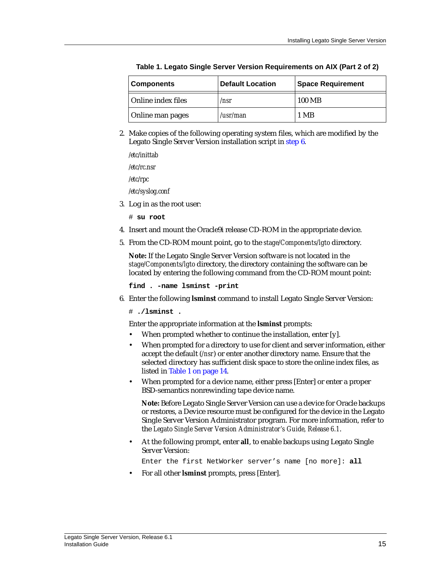| Components         | <b>Default Location</b> | <b>Space Requirement</b> |
|--------------------|-------------------------|--------------------------|
| Online index files | /nsr                    | 100 MB                   |
| Online man pages   | /usr/man                | 1 MB                     |

**Table 1. Legato Single Server Version Requirements on AIX (Part 2 of 2)**

2. Make copies of the following operating system files, which are modified by the Legato Single Server Version installation script in [step 6](#page-14-0).

```
/etc/inittab
/etc/rc.nsr
/etc/rpc
/etc/syslog.conf
```
3. Log in as the root user:

# **su root**

- 4. Insert and mount the Oracle9i release CD-ROM in the appropriate device.
- 5. From the CD-ROM mount point, go to the *stage/Components/lgto* directory.

**Note:** If the Legato Single Server Version software is not located in the *stage/Components/lgto* directory, the directory containing the software can be located by entering the following command from the CD-ROM mount point:

**find . -name lsminst -print**

<span id="page-14-0"></span>6. Enter the following **lsminst** command to install Legato Single Server Version:

# **./lsminst .**

Enter the appropriate information at the **lsminst** prompts:

- When prompted whether to continue the installation, enter [y].
- When prompted for a directory to use for client and server information, either accept the default (*/nsr*) or enter another directory name. Ensure that the selected directory has sufficient disk space to store the online index files, as listed in [Table 1 on page 14](#page-13-2).
- When prompted for a device name, either press [Enter] or enter a proper BSD-semantics nonrewinding tape device name.

**Note:** Before Legato Single Server Version can use a device for Oracle backups or restores, a Device resource must be configured for the device in the Legato Single Server Version Administrator program. For more information, refer to the *Legato Single Server Version Administrator's Guide, Release 6.1*.

• At the following prompt, enter **all**, to enable backups using Legato Single Server Version:

Enter the first NetWorker server's name [no more]: **all**

• For all other **lsminst** prompts, press [Enter].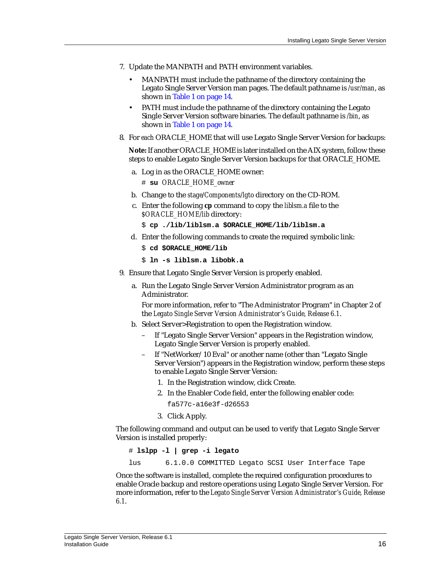- 7. Update the MANPATH and PATH environment variables.
	- MANPATH must include the pathname of the directory containing the Legato Single Server Version man pages. The default pathname is */usr/man*, as shown in [Table 1 on page 14](#page-13-2).
	- PATH must include the pathname of the directory containing the Legato Single Server Version software binaries. The default pathname is */bin*, as shown in [Table 1 on page 14](#page-13-2).
- 8. For *each* ORACLE\_HOME that will use Legato Single Server Version for backups:

**Note:** If another ORACLE\_HOME is later installed on the AIX system, follow these steps to enable Legato Single Server Version backups for that ORACLE\_HOME.

a. Log in as the ORACLE\_HOME owner:

# **su** *ORACLE\_HOME\_owner*

- b. Change to the *stage/Components/lgto* directory on the CD-ROM.
- c. Enter the following **cp** command to copy the *liblsm.a* file to the *\$ORACLE\_HOME/lib* directory:
	- \$ **cp ./lib/liblsm.a \$ORACLE\_HOME/lib/liblsm.a**
- d. Enter the following commands to create the required symbolic link: \$ **cd \$ORACLE\_HOME/lib**
	- \$ **ln -s liblsm.a libobk.a**
- 9. Ensure that Legato Single Server Version is properly enabled.
	- a. Run the Legato Single Server Version Administrator program as an Administrator.

For more information, refer to "The Administrator Program" in Chapter 2 of the *Legato Single Server Version Administrator's Guide, Release 6.1*.

- b. Select Server>Registration to open the Registration window.
	- If "Legato Single Server Version" appears in the Registration window, Legato Single Server Version is properly enabled.
	- If "NetWorker/10 Eval" or another name (other than "Legato Single Server Version") appears in the Registration window, perform these steps to enable Legato Single Server Version:
		- 1. In the Registration window, click Create.
		- 2. In the Enabler Code field, enter the following enabler code:
			- fa577c-a16e3f-d26553
		- 3. Click Apply.

The following command and output can be used to verify that Legato Single Server Version is installed properly:

# **lslpp -l | grep -i legato**

lus 6.1.0.0 COMMITTED Legato SCSI User Interface Tape

Once the software is installed, complete the required configuration procedures to enable Oracle backup and restore operations using Legato Single Server Version. For more information, refer to the *Legato Single Server Version Administrator's Guide, Release 6.1*.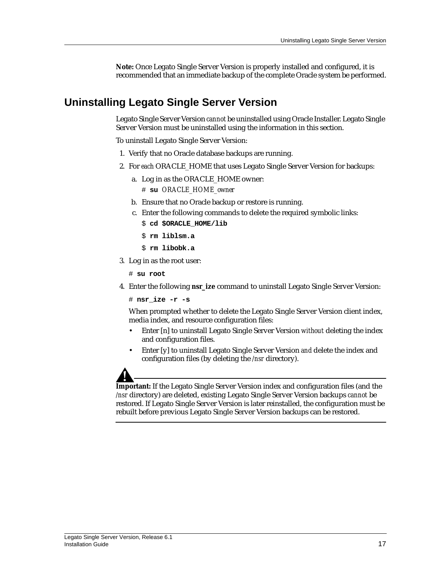**Note:** Once Legato Single Server Version is properly installed and configured, it is recommended that an immediate backup of the complete Oracle system be performed.

# <span id="page-16-0"></span>**Uninstalling Legato Single Server Version**

Legato Single Server Version *cannot* be uninstalled using Oracle Installer. Legato Single Server Version must be uninstalled using the information in this section.

To uninstall Legato Single Server Version:

- 1. Verify that no Oracle database backups are running.
- 2. For *each* ORACLE\_HOME that uses Legato Single Server Version for backups:
	- a. Log in as the ORACLE\_HOME owner:
		- # **su** *ORACLE\_HOME\_owner*
	- b. Ensure that no Oracle backup or restore is running.
	- c. Enter the following commands to delete the required symbolic links:
		- \$ **cd \$ORACLE\_HOME/lib**
		- \$ **rm liblsm.a**
		- \$ **rm libobk.a**
- 3. Log in as the root user:
	- # **su root**
- 4. Enter the following **nsr\_ize** command to uninstall Legato Single Server Version:
	- # **nsr\_ize -r -s**

When prompted whether to delete the Legato Single Server Version client index, media index, and resource configuration files:

- Enter [n] to uninstall Legato Single Server Version *without* deleting the index and configuration files.
- Enter [y] to uninstall Legato Single Server Version *and* delete the index and configuration files (by deleting the */nsr* directory).

**Important:** If the Legato Single Server Version index and configuration files (and the */nsr* directory) are deleted, existing Legato Single Server Version backups *cannot* be restored. If Legato Single Server Version is later reinstalled, the configuration must be rebuilt before previous Legato Single Server Version backups can be restored.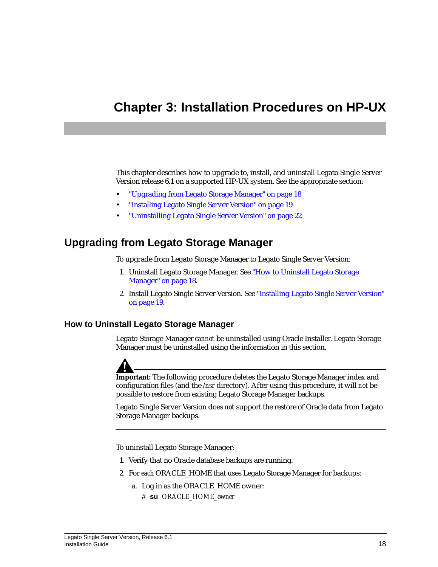# <span id="page-17-3"></span><span id="page-17-0"></span>**Chapter 3: Installation Procedures on HP-UX**

This chapter describes how to upgrade to, install, and uninstall Legato Single Server Version release 6.1 on a supported HP-UX system. See the appropriate section:

- ["Upgrading from Legato Storage Manager" on page 18](#page-17-1)
- ["Installing Legato Single Server Version" on page 19](#page-18-0)
- ["Uninstalling Legato Single Server Version" on page 22](#page-21-0)

## <span id="page-17-1"></span>**Upgrading from Legato Storage Manager**

To upgrade from Legato Storage Manager to Legato Single Server Version:

- 1. Uninstall Legato Storage Manager. See ["How to Uninstall Legato Storage](#page-17-2) [Manager" on page 18](#page-17-2).
- 2. Install Legato Single Server Version. See ["Installing Legato Single Server Version"](#page-18-0) [on page 19.](#page-18-0)

### <span id="page-17-2"></span>**How to Uninstall Legato Storage Manager**

Legato Storage Manager *cannot* be uninstalled using Oracle Installer. Legato Storage Manager must be uninstalled using the information in this section.



**Important:** The following procedure deletes the Legato Storage Manager index and configuration files (and the */nsr* directory). After using this procedure, it will *not* be possible to restore from existing Legato Storage Manager backups.

Legato Single Server Version does *not* support the restore of Oracle data from Legato Storage Manager backups.

To uninstall Legato Storage Manager:

- 1. Verify that no Oracle database backups are running.
- 2. For *each* ORACLE\_HOME that uses Legato Storage Manager for backups:
	- a. Log in as the ORACLE\_HOME owner:
		- # **su** *ORACLE\_HOME\_owner*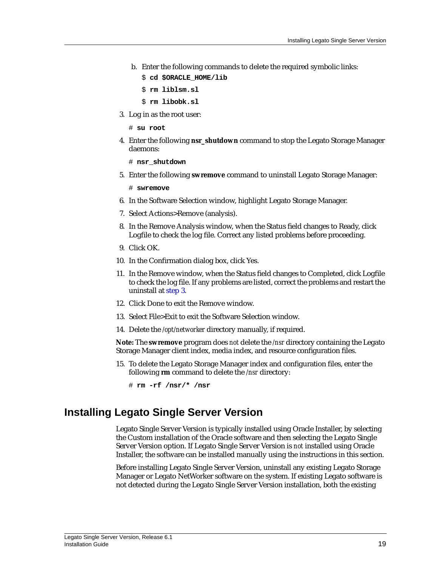- b. Enter the following commands to delete the required symbolic links:
	- \$ **cd \$ORACLE\_HOME/lib**
	- \$ **rm liblsm.sl**
	- \$ **rm libobk.sl**
- <span id="page-18-1"></span>3. Log in as the root user:
	- # **su root**
- 4. Enter the following **nsr\_shutdown** command to stop the Legato Storage Manager daemons:

# **nsr\_shutdown**

<span id="page-18-2"></span>5. Enter the following **swremove** command to uninstall Legato Storage Manager:

# **swremove**

- 6. In the Software Selection window, highlight Legato Storage Manager.
- 7. Select Actions>Remove (analysis).
- 8. In the Remove Analysis window, when the Status field changes to Ready, click Logfile to check the log file. Correct any listed problems before proceeding.
- 9. Click OK.
- 10. In the Confirmation dialog box, click Yes.
- 11. In the Remove window, when the Status field changes to Completed, click Logfile to check the log file. If any problems are listed, correct the problems and restart the uninstall at [step 3.](#page-18-1)
- 12. Click Done to exit the Remove window.
- 13. Select File>Exit to exit the Software Selection window.
- 14. Delete the */opt/networker* directory manually, if required.

**Note:** The **swremove** program does *not* delete the */nsr* directory containing the Legato Storage Manager client index, media index, and resource configuration files.

15. To delete the Legato Storage Manager index and configuration files, enter the following **rm** command to delete the */nsr* directory:

## <span id="page-18-0"></span>**Installing Legato Single Server Version**

Legato Single Server Version is typically installed using Oracle Installer, by selecting the Custom installation of the Oracle software and then selecting the Legato Single Server Version option. If Legato Single Server Version is *not* installed using Oracle Installer, the software can be installed manually using the instructions in this section.

Before installing Legato Single Server Version, uninstall any existing Legato Storage Manager or Legato NetWorker software on the system. If existing Legato software is not detected during the Legato Single Server Version installation, both the existing

<sup>#</sup> **rm -rf /nsr/\* /nsr**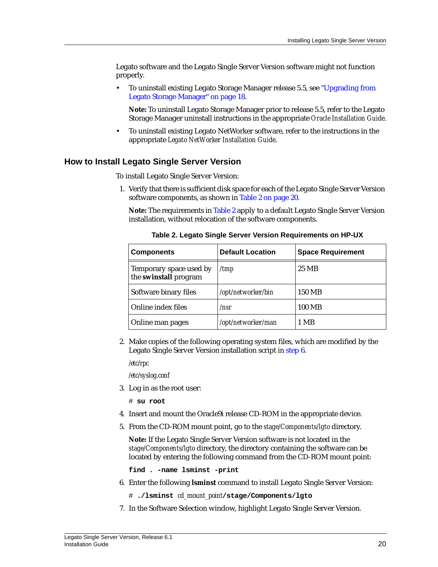Legato software and the Legato Single Server Version software might not function properly.

• To uninstall existing Legato Storage Manager release 5.5, see ["Upgrading from](#page-17-1) [Legato Storage Manager" on page 18.](#page-17-1)

**Note:** To uninstall Legato Storage Manager prior to release 5.5, refer to the Legato Storage Manager uninstall instructions in the appropriate *Oracle Installation Guide*.

• To uninstall existing Legato NetWorker software, refer to the instructions in the appropriate *Legato NetWorker Installation Guide*.

### <span id="page-19-0"></span>**How to Install Legato Single Server Version**

To install Legato Single Server Version:

1. Verify that there is sufficient disk space for each of the Legato Single Server Version software components, as shown in [Table 2 on page 20](#page-19-1).

**Note:** The requirements in [Table 2](#page-19-1) apply to a default Legato Single Server Version installation, without relocation of the software components.

<span id="page-19-1"></span>

| <b>Components</b>                                | <b>Default Location</b> | <b>Space Requirement</b> |
|--------------------------------------------------|-------------------------|--------------------------|
| Temporary space used by<br>the swinstall program | /tmp                    | 25 MB                    |
| Software binary files                            | /opt/networker/bin      | 150 MB                   |
| Online index files                               | /nsr                    | 100 MB                   |
| Online man pages                                 | /opt/networker/man      | 1 MB                     |

**Table 2. Legato Single Server Version Requirements on HP-UX**

2. Make copies of the following operating system files, which are modified by the Legato Single Server Version installation script in [step 6](#page-19-2).

*/etc/rpc*

*/etc/syslog.conf*

3. Log in as the root user:

# **su root**

- 4. Insert and mount the Oracle9i release CD-ROM in the appropriate device.
- 5. From the CD-ROM mount point, go to the *stage/Components/lgto* directory.

**Note:** If the Legato Single Server Version software is not located in the *stage/Components/lgto* directory, the directory containing the software can be located by entering the following command from the CD-ROM mount point:

**find . -name lsminst -print**

<span id="page-19-2"></span>6. Enter the following **lsminst** command to install Legato Single Server Version:

# **./lsminst** *cd\_mount\_point***/stage/Components/lgto**

<span id="page-19-3"></span>7. In the Software Selection window, highlight Legato Single Server Version.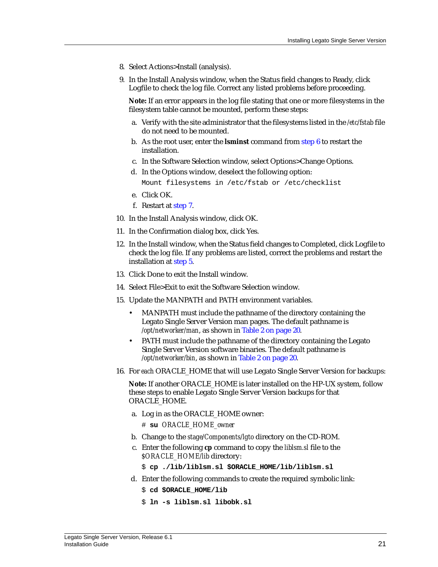- 8. Select Actions>Install (analysis).
- 9. In the Install Analysis window, when the Status field changes to Ready, click Logfile to check the log file. Correct any listed problems before proceeding.

**Note:** If an error appears in the log file stating that one or more filesystems in the filesystem table cannot be mounted, perform these steps:

- a. Verify with the site administrator that the filesystems listed in the */etc/fstab* file do not need to be mounted.
- b. As the root user, enter the **lsminst** command from [step 6](#page-19-2) to restart the installation.
- c. In the Software Selection window, select Options>Change Options.
- d. In the Options window, deselect the following option:

Mount filesystems in /etc/fstab or /etc/checklist

- e. Click OK.
- f. Restart at [step 7](#page-19-3).
- 10. In the Install Analysis window, click OK.
- 11. In the Confirmation dialog box, click Yes.
- 12. In the Install window, when the Status field changes to Completed, click Logfile to check the log file. If any problems are listed, correct the problems and restart the installation at [step 5.](#page-18-2)
- 13. Click Done to exit the Install window.
- 14. Select File>Exit to exit the Software Selection window.
- 15. Update the MANPATH and PATH environment variables.
	- MANPATH must include the pathname of the directory containing the Legato Single Server Version man pages. The default pathname is */opt/networker/man*, as shown in [Table 2 on page 20](#page-19-1).
	- PATH must include the pathname of the directory containing the Legato Single Server Version software binaries. The default pathname is */opt/networker/bin*, as shown in [Table 2 on page 20](#page-19-1).
- 16. For *each* ORACLE\_HOME that will use Legato Single Server Version for backups:

**Note:** If another ORACLE\_HOME is later installed on the HP-UX system, follow these steps to enable Legato Single Server Version backups for that ORACLE\_HOME.

- a. Log in as the ORACLE\_HOME owner: # **su** *ORACLE\_HOME\_owner*
- b. Change to the *stage/Components/lgto* directory on the CD-ROM.
- c. Enter the following **cp** command to copy the *liblsm.sl* file to the *\$ORACLE\_HOME/lib* directory:

\$ **cp ./lib/liblsm.sl \$ORACLE\_HOME/lib/liblsm.sl**

- d. Enter the following commands to create the required symbolic link:
	- \$ **cd \$ORACLE\_HOME/lib**
	- \$ **ln -s liblsm.sl libobk.sl**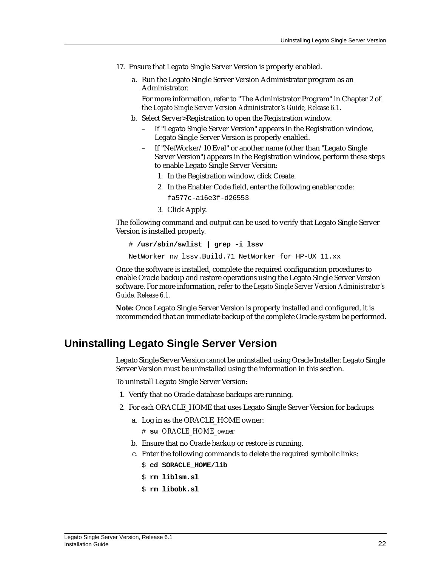- 17. Ensure that Legato Single Server Version is properly enabled.
	- a. Run the Legato Single Server Version Administrator program as an Administrator.

For more information, refer to "The Administrator Program" in Chapter 2 of the *Legato Single Server Version Administrator's Guide, Release 6.1*.

- b. Select Server>Registration to open the Registration window.
	- If "Legato Single Server Version" appears in the Registration window, Legato Single Server Version is properly enabled.
	- If "NetWorker/10 Eval" or another name (other than "Legato Single Server Version") appears in the Registration window, perform these steps to enable Legato Single Server Version:
		- 1. In the Registration window, click Create.
		- 2. In the Enabler Code field, enter the following enabler code:
			- fa577c-a16e3f-d26553
		- 3. Click Apply.

The following command and output can be used to verify that Legato Single Server Version is installed properly.

```
# /usr/sbin/swlist | grep -i lssv
```
NetWorker nw\_lssv.Build.71 NetWorker for HP-UX 11.xx

Once the software is installed, complete the required configuration procedures to enable Oracle backup and restore operations using the Legato Single Server Version software. For more information, refer to the *Legato Single Server Version Administrator's Guide, Release 6.1*.

**Note:** Once Legato Single Server Version is properly installed and configured, it is recommended that an immediate backup of the complete Oracle system be performed.

# <span id="page-21-0"></span>**Uninstalling Legato Single Server Version**

Legato Single Server Version *cannot* be uninstalled using Oracle Installer. Legato Single Server Version must be uninstalled using the information in this section.

To uninstall Legato Single Server Version:

- 1. Verify that no Oracle database backups are running.
- 2. For *each* ORACLE\_HOME that uses Legato Single Server Version for backups:
	- a. Log in as the ORACLE\_HOME owner: # **su** *ORACLE\_HOME\_owner*
	- b. Ensure that no Oracle backup or restore is running.
	- c. Enter the following commands to delete the required symbolic links:
		- \$ **cd \$ORACLE\_HOME/lib**
		- \$ **rm liblsm.sl**
		- \$ **rm libobk.sl**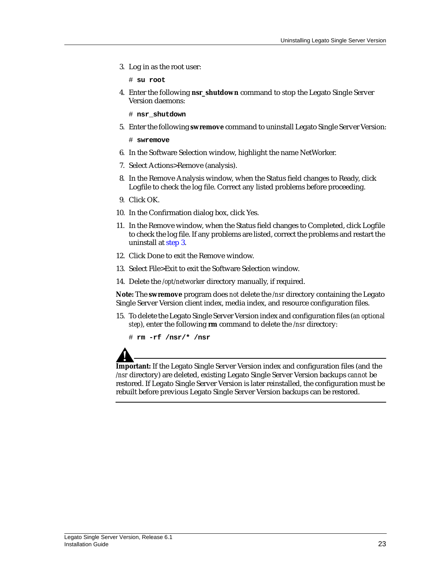3. Log in as the root user:

# **su root**

4. Enter the following **nsr\_shutdown** command to stop the Legato Single Server Version daemons:

# **nsr\_shutdown**

5. Enter the following **swremove** command to uninstall Legato Single Server Version:

# **swremove**

- 6. In the Software Selection window, highlight the name NetWorker.
- 7. Select Actions>Remove (analysis).
- 8. In the Remove Analysis window, when the Status field changes to Ready, click Logfile to check the log file. Correct any listed problems before proceeding.
- 9. Click OK.
- 10. In the Confirmation dialog box, click Yes.
- 11. In the Remove window, when the Status field changes to Completed, click Logfile to check the log file. If any problems are listed, correct the problems and restart the uninstall at [step 3.](#page-18-1)
- 12. Click Done to exit the Remove window.
- 13. Select File>Exit to exit the Software Selection window.
- 14. Delete the */opt/networker* directory manually, if required.

**Note:** The **swremove** program does *not* delete the */nsr* directory containing the Legato Single Server Version client index, media index, and resource configuration files.

15. To delete the Legato Single Server Version index and configuration files (*an optional step*), enter the following **rm** command to delete the */nsr* directory:

# **rm -rf /nsr/\* /nsr**

**Important:** If the Legato Single Server Version index and configuration files (and the */nsr* directory) are deleted, existing Legato Single Server Version backups *cannot* be restored. If Legato Single Server Version is later reinstalled, the configuration must be rebuilt before previous Legato Single Server Version backups can be restored.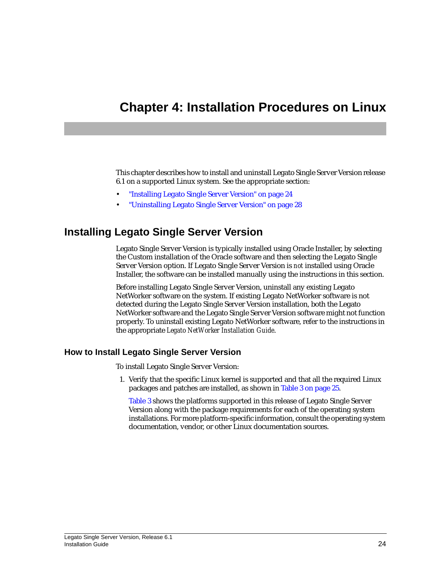# <span id="page-23-3"></span><span id="page-23-0"></span>**Chapter 4: Installation Procedures on Linux**

This chapter describes how to install and uninstall Legato Single Server Version release 6.1 on a supported Linux system. See the appropriate section:

- ["Installing Legato Single Server Version" on page 24](#page-23-1)
- ["Uninstalling Legato Single Server Version" on page 28](#page-27-0)

# <span id="page-23-1"></span>**Installing Legato Single Server Version**

Legato Single Server Version is typically installed using Oracle Installer, by selecting the Custom installation of the Oracle software and then selecting the Legato Single Server Version option. If Legato Single Server Version is *not* installed using Oracle Installer, the software can be installed manually using the instructions in this section.

Before installing Legato Single Server Version, uninstall any existing Legato NetWorker software on the system. If existing Legato NetWorker software is not detected during the Legato Single Server Version installation, both the Legato NetWorker software and the Legato Single Server Version software might not function properly. To uninstall existing Legato NetWorker software, refer to the instructions in the appropriate *Legato NetWorker Installation Guide*.

### <span id="page-23-2"></span>**How to Install Legato Single Server Version**

To install Legato Single Server Version:

1. Verify that the specific Linux kernel is supported and that all the required Linux packages and patches are installed, as shown in [Table 3 on page 25.](#page-24-0)

[Table 3](#page-24-0) shows the platforms supported in this release of Legato Single Server Version along with the package requirements for each of the operating system installations. For more platform-specific information, consult the operating system documentation, vendor, or other Linux documentation sources.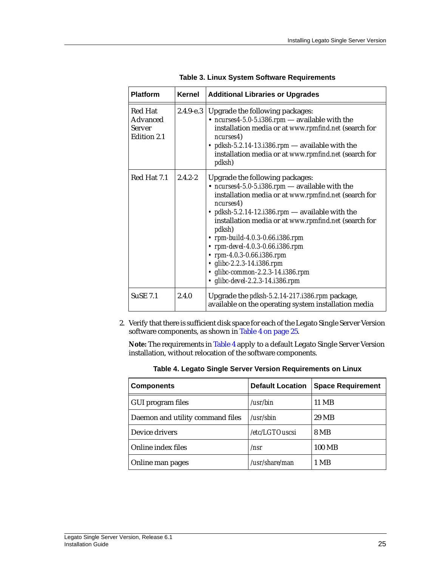<span id="page-24-0"></span>

| <b>Platform</b>                                     | <b>Kernel</b> | <b>Additional Libraries or Upgrades</b>                                                                                                                                                                                                                                                                                                                                                                                                                                                            |
|-----------------------------------------------------|---------------|----------------------------------------------------------------------------------------------------------------------------------------------------------------------------------------------------------------------------------------------------------------------------------------------------------------------------------------------------------------------------------------------------------------------------------------------------------------------------------------------------|
| Red Hat<br>Advanced<br><b>Server</b><br>Edition 2.1 | $2.4.9 - e.3$ | Upgrade the following packages:<br>• ncurses4-5.0-5.1386.rpm - available with the<br>installation media or at www.rpmfind.net (search for<br>ncurses4)<br>• pdksh-5.2.14-13.1386.rpm — available with the<br>installation media or at www.rpmfind.net (search for<br>pdksh)                                                                                                                                                                                                                        |
| Red Hat 7.1                                         | $2.4.2 - 2.$  | Upgrade the following packages:<br>$\bullet$ ncurses4-5.0-5.1386.rpm — available with the<br>installation media or at www.rpmfind.net (search for<br>ncurses4)<br>• pdksh-5.2.14-12.i386.rpm - available with the<br>installation media or at www.rpmfind.net (search for<br><i>pdksh</i> )<br>• rpm-build-4.0.3-0.66.i386.rpm<br>• rpm-devel-4.0.3-0.66.i386.rpm<br>• rpm-4.0.3-0.66.i386.rpm<br>• glibc-2.2.3-14.i386.rpm<br>• glibc-common-2.2.3-14.i386.rpm<br>• glibc-devel-2.2.3-14.i386.rpm |
| <b>SuSE 7.1</b>                                     | 2.4.0         | Upgrade the <i>pdksh-5.2.14-217.i386.rpm</i> package,<br>available on the operating system installation media                                                                                                                                                                                                                                                                                                                                                                                      |

**Table 3. Linux System Software Requirements**

2. Verify that there is sufficient disk space for each of the Legato Single Server Version software components, as shown in [Table 4 on page 25](#page-24-1).

**Note:** The requirements in [Table 4](#page-24-1) apply to a default Legato Single Server Version installation, without relocation of the software components.

<span id="page-24-1"></span>

| <b>Components</b>                | <b>Default Location</b> | <b>Space Requirement</b> |
|----------------------------------|-------------------------|--------------------------|
| GUI program files                | /usr/bin                | 11 MB                    |
| Daemon and utility command files | $\sqrt{usr/s}$ hin      | 29 MB                    |
| Device drivers                   | /etc/LGTOuscsi          | 8 MB                     |
| Online index files               | /nsr                    | 100 MB                   |
| Online man pages                 | /usr/share/man          | 1 MB                     |

**Table 4. Legato Single Server Version Requirements on Linux**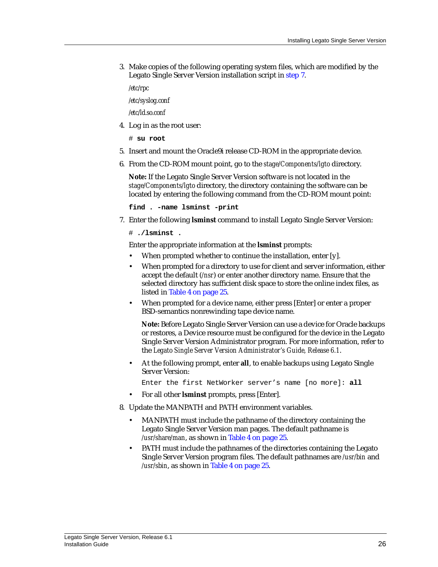3. Make copies of the following operating system files, which are modified by the Legato Single Server Version installation script in [step 7](#page-25-0).

*/etc/rpc*

*/etc/syslog.conf*

*/etc/ld.so.conf*

4. Log in as the root user:

# **su root**

- 5. Insert and mount the Oracle9i release CD-ROM in the appropriate device.
- 6. From the CD-ROM mount point, go to the *stage/Components/lgto* directory.

**Note:** If the Legato Single Server Version software is not located in the *stage/Components/lgto* directory, the directory containing the software can be located by entering the following command from the CD-ROM mount point:

**find . -name lsminst -print**

<span id="page-25-0"></span>7. Enter the following **lsminst** command to install Legato Single Server Version:

# **./lsminst .**

Enter the appropriate information at the **lsminst** prompts:

- When prompted whether to continue the installation, enter [y].
- When prompted for a directory to use for client and server information, either accept the default (*/nsr*) or enter another directory name. Ensure that the selected directory has sufficient disk space to store the online index files, as listed in [Table 4 on page 25](#page-24-1).
- When prompted for a device name, either press [Enter] or enter a proper BSD-semantics nonrewinding tape device name.

**Note:** Before Legato Single Server Version can use a device for Oracle backups or restores, a Device resource must be configured for the device in the Legato Single Server Version Administrator program. For more information, refer to the *Legato Single Server Version Administrator's Guide, Release 6.1*.

• At the following prompt, enter **all**, to enable backups using Legato Single Server Version:

Enter the first NetWorker server's name [no more]: **all**

- For all other **lsminst** prompts, press [Enter].
- 8. Update the MANPATH and PATH environment variables.
	- MANPATH must include the pathname of the directory containing the Legato Single Server Version man pages. The default pathname is */usr/share/man*, as shown in [Table 4 on page 25](#page-24-1).
	- PATH must include the pathnames of the directories containing the Legato Single Server Version program files. The default pathnames are */usr/bin* and */usr/sbin*, as shown in [Table 4 on page 25](#page-24-1).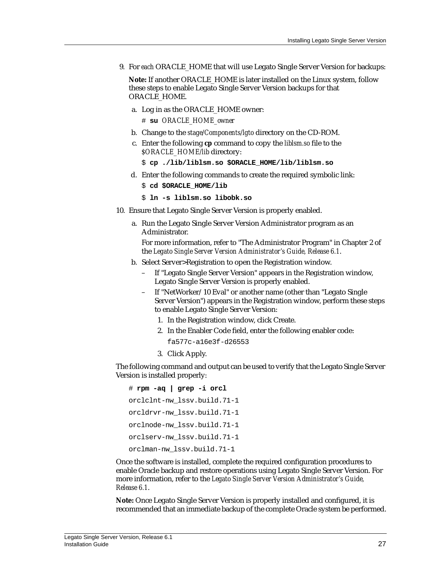9. For *each* ORACLE\_HOME that will use Legato Single Server Version for backups:

**Note:** If another ORACLE\_HOME is later installed on the Linux system, follow these steps to enable Legato Single Server Version backups for that ORACLE\_HOME.

a. Log in as the ORACLE\_HOME owner:

# **su** *ORACLE\_HOME\_owner*

- b. Change to the *stage/Components/lgto* directory on the CD-ROM.
- c. Enter the following **cp** command to copy the *liblsm.so* file to the *\$ORACLE\_HOME/lib* directory:
	- \$ **cp ./lib/liblsm.so \$ORACLE\_HOME/lib/liblsm.so**
- d. Enter the following commands to create the required symbolic link:
	- \$ **cd \$ORACLE\_HOME/lib**
	- \$ **ln -s liblsm.so libobk.so**
- 10. Ensure that Legato Single Server Version is properly enabled.
	- a. Run the Legato Single Server Version Administrator program as an Administrator.

For more information, refer to "The Administrator Program" in Chapter 2 of the *Legato Single Server Version Administrator's Guide, Release 6.1*.

- b. Select Server>Registration to open the Registration window.
	- If "Legato Single Server Version" appears in the Registration window, Legato Single Server Version is properly enabled.
	- If "NetWorker/10 Eval" or another name (other than "Legato Single Server Version") appears in the Registration window, perform these steps to enable Legato Single Server Version:
		- 1. In the Registration window, click Create.
		- 2. In the Enabler Code field, enter the following enabler code:
			- fa577c-a16e3f-d26553
		- 3. Click Apply.

The following command and output can be used to verify that the Legato Single Server Version is installed properly:

```
# rpm -aq | grep -i orcl
orclclnt-nw_lssv.build.71-1
orcldrvr-nw_lssv.build.71-1
orclnode-nw_lssv.build.71-1
orclserv-nw_lssv.build.71-1
orclman-nw_lssv.build.71-1
```
Once the software is installed, complete the required configuration procedures to enable Oracle backup and restore operations using Legato Single Server Version. For more information, refer to the *Legato Single Server Version Administrator's Guide, Release 6.1*.

**Note:** Once Legato Single Server Version is properly installed and configured, it is recommended that an immediate backup of the complete Oracle system be performed.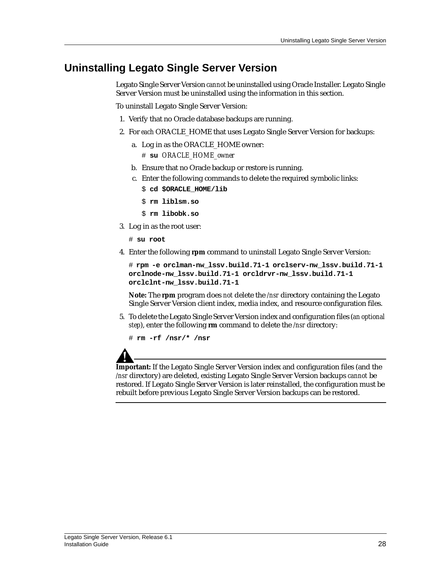# <span id="page-27-0"></span>**Uninstalling Legato Single Server Version**

Legato Single Server Version *cannot* be uninstalled using Oracle Installer. Legato Single Server Version must be uninstalled using the information in this section.

To uninstall Legato Single Server Version:

- 1. Verify that no Oracle database backups are running.
- 2. For *each* ORACLE\_HOME that uses Legato Single Server Version for backups:
	- a. Log in as the ORACLE\_HOME owner: # **su** *ORACLE\_HOME\_owner*
	- b. Ensure that no Oracle backup or restore is running.
	- c. Enter the following commands to delete the required symbolic links:
		- \$ **cd \$ORACLE\_HOME/lib**
		- \$ **rm liblsm.so**
		- \$ **rm libobk.so**
- 3. Log in as the root user:
	- # **su root**
- 4. Enter the following **rpm** command to uninstall Legato Single Server Version:

```
# rpm -e orclman-nw_lssv.build.71-1 orclserv-nw_lssv.build.71-1
orclnode-nw_lssv.build.71-1 orcldrvr-nw_lssv.build.71-1
orclclnt-nw_lssv.build.71-1
```
**Note:** The **rpm** program does *not* delete the */nsr* directory containing the Legato Single Server Version client index, media index, and resource configuration files.

5. To delete the Legato Single Server Version index and configuration files (*an optional step*), enter the following **rm** command to delete the */nsr* directory:

# **rm -rf /nsr/\* /nsr**

**Important:** If the Legato Single Server Version index and configuration files (and the */nsr* directory) are deleted, existing Legato Single Server Version backups *cannot* be restored. If Legato Single Server Version is later reinstalled, the configuration must be rebuilt before previous Legato Single Server Version backups can be restored.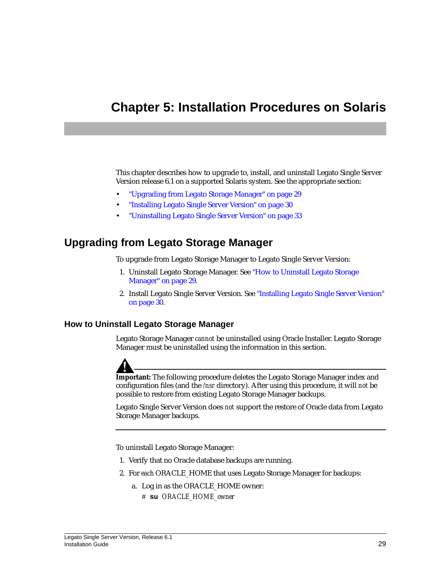# <span id="page-28-3"></span><span id="page-28-0"></span>**Chapter 5: Installation Procedures on Solaris**

This chapter describes how to upgrade to, install, and uninstall Legato Single Server Version release 6.1 on a supported Solaris system. See the appropriate section:

- ["Upgrading from Legato Storage Manager" on page 29](#page-28-1)
- ["Installing Legato Single Server Version" on page 30](#page-29-0)
- ["Uninstalling Legato Single Server Version" on page 33](#page-32-0)

## <span id="page-28-1"></span>**Upgrading from Legato Storage Manager**

To upgrade from Legato Storage Manager to Legato Single Server Version:

- 1. Uninstall Legato Storage Manager. See ["How to Uninstall Legato Storage](#page-28-2) [Manager" on page 29](#page-28-2).
- 2. Install Legato Single Server Version. See ["Installing Legato Single Server Version"](#page-29-0) [on page 30.](#page-29-0)

### <span id="page-28-2"></span>**How to Uninstall Legato Storage Manager**

Legato Storage Manager *cannot* be uninstalled using Oracle Installer. Legato Storage Manager must be uninstalled using the information in this section.



**Important:** The following procedure deletes the Legato Storage Manager index and configuration files (and the */nsr* directory). After using this procedure, it will *not* be possible to restore from existing Legato Storage Manager backups.

Legato Single Server Version does *not* support the restore of Oracle data from Legato Storage Manager backups.

To uninstall Legato Storage Manager:

- 1. Verify that no Oracle database backups are running.
- 2. For *each* ORACLE\_HOME that uses Legato Storage Manager for backups:
	- a. Log in as the ORACLE\_HOME owner:
		- # **su** *ORACLE\_HOME\_owner*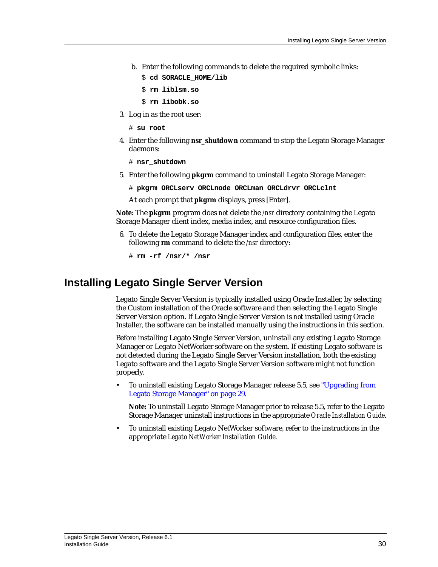- b. Enter the following commands to delete the required symbolic links:
	- \$ **cd \$ORACLE\_HOME/lib**
	- \$ **rm liblsm.so**
	- \$ **rm libobk.so**
- 3. Log in as the root user:
	- # **su root**
- 4. Enter the following **nsr\_shutdown** command to stop the Legato Storage Manager daemons:

# **nsr\_shutdown**

- 5. Enter the following **pkgrm** command to uninstall Legato Storage Manager:
	- # **pkgrm ORCLserv ORCLnode ORCLman ORCLdrvr ORCLclnt**

At each prompt that **pkgrm** displays, press [Enter].

**Note:** The **pkgrm** program does *not* delete the */nsr* directory containing the Legato Storage Manager client index, media index, and resource configuration files.

6. To delete the Legato Storage Manager index and configuration files, enter the following **rm** command to delete the */nsr* directory:

# **rm -rf /nsr/\* /nsr**

## <span id="page-29-0"></span>**Installing Legato Single Server Version**

Legato Single Server Version is typically installed using Oracle Installer, by selecting the Custom installation of the Oracle software and then selecting the Legato Single Server Version option. If Legato Single Server Version is *not* installed using Oracle Installer, the software can be installed manually using the instructions in this section.

Before installing Legato Single Server Version, uninstall any existing Legato Storage Manager or Legato NetWorker software on the system. If existing Legato software is not detected during the Legato Single Server Version installation, both the existing Legato software and the Legato Single Server Version software might not function properly.

• To uninstall existing Legato Storage Manager release 5.5, see ["Upgrading from](#page-28-1) [Legato Storage Manager" on page 29.](#page-28-1)

**Note:** To uninstall Legato Storage Manager prior to release 5.5, refer to the Legato Storage Manager uninstall instructions in the appropriate *Oracle Installation Guide*.

• To uninstall existing Legato NetWorker software, refer to the instructions in the appropriate *Legato NetWorker Installation Guide*.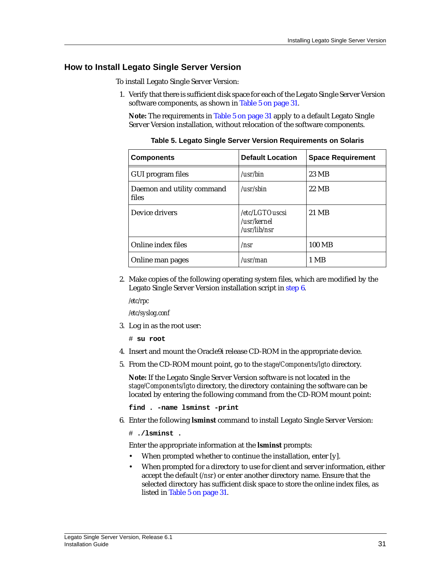### <span id="page-30-0"></span>**How to Install Legato Single Server Version**

To install Legato Single Server Version:

1. Verify that there is sufficient disk space for each of the Legato Single Server Version software components, as shown in [Table 5 on page 31](#page-30-1).

**Note:** The requirements in [Table 5 on page 31](#page-30-1) apply to a default Legato Single Server Version installation, without relocation of the software components.

<span id="page-30-1"></span>

| <b>Components</b>                   | <b>Default Location</b>                       | <b>Space Requirement</b> |
|-------------------------------------|-----------------------------------------------|--------------------------|
| GUI program files                   | /usr/bin                                      | 23 MB                    |
| Daemon and utility command<br>files | /usr/sbin                                     | 22 MB                    |
| Device drivers                      | /etc/LGTOuscsi<br>/usr/kernel<br>/usr/lib/nsr | 21 MB                    |
| Online index files                  | /nsr                                          | 100 MB                   |
| Online man pages                    | $\lambda$ usr $\lambda$ man                   | 1 MB                     |

**Table 5. Legato Single Server Version Requirements on Solaris**

2. Make copies of the following operating system files, which are modified by the Legato Single Server Version installation script in [step 6](#page-30-2).

*/etc/rpc*

*/etc/syslog.conf*

3. Log in as the root user:

# **su root**

- 4. Insert and mount the Oracle9i release CD-ROM in the appropriate device.
- 5. From the CD-ROM mount point, go to the *stage/Components/lgto* directory.

**Note:** If the Legato Single Server Version software is not located in the *stage/Components/lgto* directory, the directory containing the software can be located by entering the following command from the CD-ROM mount point:

**find . -name lsminst -print**

<span id="page-30-2"></span>6. Enter the following **lsminst** command to install Legato Single Server Version:

# **./lsminst .**

Enter the appropriate information at the **lsminst** prompts:

- When prompted whether to continue the installation, enter [y].
- When prompted for a directory to use for client and server information, either accept the default (*/nsr*) or enter another directory name. Ensure that the selected directory has sufficient disk space to store the online index files, as listed in [Table 5 on page 31](#page-30-1).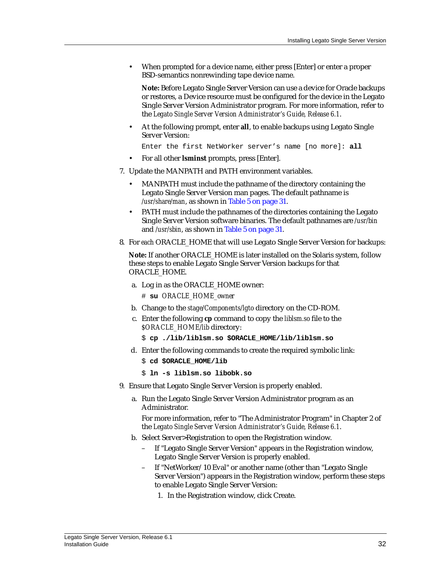• When prompted for a device name, either press [Enter] or enter a proper BSD-semantics nonrewinding tape device name.

**Note:** Before Legato Single Server Version can use a device for Oracle backups or restores, a Device resource must be configured for the device in the Legato Single Server Version Administrator program. For more information, refer to the *Legato Single Server Version Administrator's Guide, Release 6.1*.

• At the following prompt, enter **all**, to enable backups using Legato Single Server Version:

Enter the first NetWorker server's name [no more]: **all**

- For all other **lsminst** prompts, press [Enter].
- 7. Update the MANPATH and PATH environment variables.
	- MANPATH must include the pathname of the directory containing the Legato Single Server Version man pages. The default pathname is */usr/share/man*, as shown in [Table 5 on page 31](#page-30-1).
	- PATH must include the pathnames of the directories containing the Legato Single Server Version software binaries. The default pathnames are */usr/bin* and */usr/sbin*, as shown in [Table 5 on page 31.](#page-30-1)
- 8. For *each* ORACLE\_HOME that will use Legato Single Server Version for backups:

**Note:** If another ORACLE\_HOME is later installed on the Solaris system, follow these steps to enable Legato Single Server Version backups for that ORACLE\_HOME.

a. Log in as the ORACLE\_HOME owner:

# **su** *ORACLE\_HOME\_owner*

- b. Change to the *stage/Components/lgto* directory on the CD-ROM.
- c. Enter the following **cp** command to copy the *liblsm.so* file to the *\$ORACLE\_HOME/lib* directory:
	- \$ **cp ./lib/liblsm.so \$ORACLE\_HOME/lib/liblsm.so**
- d. Enter the following commands to create the required symbolic link:
	- \$ **cd \$ORACLE\_HOME/lib**
	- \$ **ln -s liblsm.so libobk.so**
- 9. Ensure that Legato Single Server Version is properly enabled.
	- a. Run the Legato Single Server Version Administrator program as an Administrator.

For more information, refer to "The Administrator Program" in Chapter 2 of the *Legato Single Server Version Administrator's Guide, Release 6.1*.

- b. Select Server>Registration to open the Registration window.
	- If "Legato Single Server Version" appears in the Registration window, Legato Single Server Version is properly enabled.
	- If "NetWorker/10 Eval" or another name (other than "Legato Single Server Version") appears in the Registration window, perform these steps to enable Legato Single Server Version:
		- 1. In the Registration window, click Create.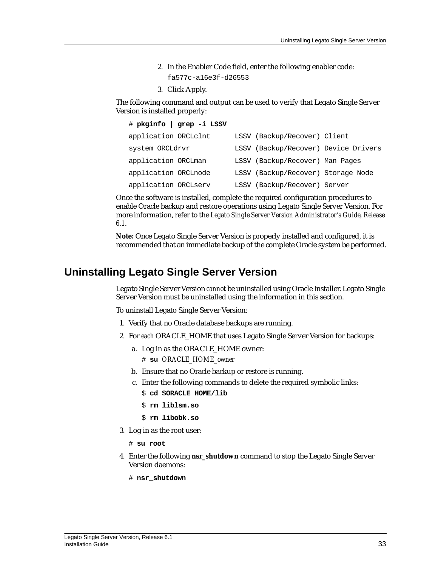- 2. In the Enabler Code field, enter the following enabler code:
	- fa577c-a16e3f-d26553
- 3. Click Apply.

The following command and output can be used to verify that Legato Single Server Version is installed properly:

|                      | # pkginfo   grep -i LSSV |                                      |  |
|----------------------|--------------------------|--------------------------------------|--|
| application ORCLclnt |                          | LSSV (Backup/Recover) Client         |  |
| system ORCLdrvr      |                          | LSSV (Backup/Recover) Device Drivers |  |
| application ORCLman  |                          | LSSV (Backup/Recover) Man Pages      |  |
| application ORCLnode |                          | LSSV (Backup/Recover) Storage Node   |  |
| application ORCLserv |                          | LSSV (Backup/Recover) Server         |  |

Once the software is installed, complete the required configuration procedures to enable Oracle backup and restore operations using Legato Single Server Version. For more information, refer to the *Legato Single Server Version Administrator's Guide, Release 6.1*.

**Note:** Once Legato Single Server Version is properly installed and configured, it is recommended that an immediate backup of the complete Oracle system be performed.

# <span id="page-32-0"></span>**Uninstalling Legato Single Server Version**

Legato Single Server Version *cannot* be uninstalled using Oracle Installer. Legato Single Server Version must be uninstalled using the information in this section.

To uninstall Legato Single Server Version:

- 1. Verify that no Oracle database backups are running.
- 2. For *each* ORACLE\_HOME that uses Legato Single Server Version for backups:
	- a. Log in as the ORACLE\_HOME owner: # **su** *ORACLE\_HOME\_owner*
	- b. Ensure that no Oracle backup or restore is running.
	- c. Enter the following commands to delete the required symbolic links:
		- \$ **cd \$ORACLE\_HOME/lib**
		- \$ **rm liblsm.so**
		- \$ **rm libobk.so**
- 3. Log in as the root user:

# **su root**

- 4. Enter the following **nsr\_shutdown** command to stop the Legato Single Server Version daemons:
	- # **nsr\_shutdown**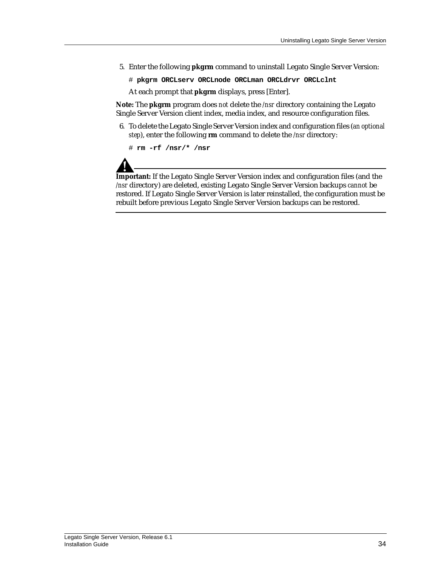5. Enter the following **pkgrm** command to uninstall Legato Single Server Version:

# **pkgrm ORCLserv ORCLnode ORCLman ORCLdrvr ORCLclnt**

At each prompt that **pkgrm** displays, press [Enter].

**Note:** The **pkgrm** program does *not* delete the */nsr* directory containing the Legato Single Server Version client index, media index, and resource configuration files.

6. To delete the Legato Single Server Version index and configuration files (*an optional step*), enter the following **rm** command to delete the */nsr* directory:

# **rm -rf /nsr/\* /nsr**



**Important:** If the Legato Single Server Version index and configuration files (and the */nsr* directory) are deleted, existing Legato Single Server Version backups *cannot* be restored. If Legato Single Server Version is later reinstalled, the configuration must be rebuilt before previous Legato Single Server Version backups can be restored.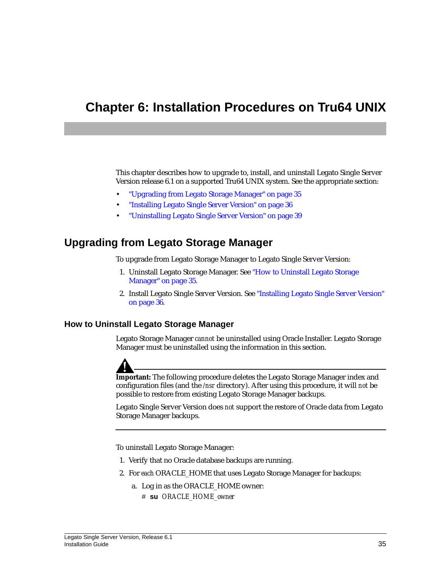# <span id="page-34-3"></span><span id="page-34-0"></span>**Chapter 6: Installation Procedures on Tru64 UNIX**

This chapter describes how to upgrade to, install, and uninstall Legato Single Server Version release 6.1 on a supported Tru64 UNIX system. See the appropriate section:

- ["Upgrading from Legato Storage Manager" on page 35](#page-34-1)
- ["Installing Legato Single Server Version" on page 36](#page-35-0)
- ["Uninstalling Legato Single Server Version" on page 39](#page-38-0)

# <span id="page-34-1"></span>**Upgrading from Legato Storage Manager**

To upgrade from Legato Storage Manager to Legato Single Server Version:

- 1. Uninstall Legato Storage Manager. See ["How to Uninstall Legato Storage](#page-34-2) [Manager" on page 35](#page-34-2).
- 2. Install Legato Single Server Version. See ["Installing Legato Single Server Version"](#page-35-0) [on page 36.](#page-35-0)

### <span id="page-34-2"></span>**How to Uninstall Legato Storage Manager**

Legato Storage Manager *cannot* be uninstalled using Oracle Installer. Legato Storage Manager must be uninstalled using the information in this section.



**Important:** The following procedure deletes the Legato Storage Manager index and configuration files (and the */nsr* directory). After using this procedure, it will *not* be possible to restore from existing Legato Storage Manager backups.

Legato Single Server Version does *not* support the restore of Oracle data from Legato Storage Manager backups.

To uninstall Legato Storage Manager:

- 1. Verify that no Oracle database backups are running.
- 2. For *each* ORACLE\_HOME that uses Legato Storage Manager for backups:
	- a. Log in as the ORACLE\_HOME owner:
		- # **su** *ORACLE\_HOME\_owner*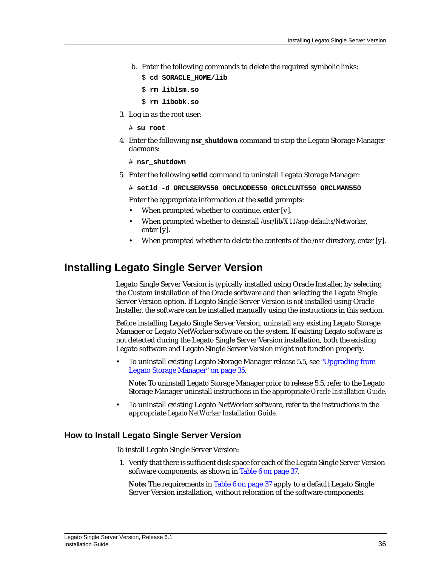- b. Enter the following commands to delete the required symbolic links:
	- \$ **cd \$ORACLE\_HOME/lib**
	- \$ **rm liblsm.so**
	- \$ **rm libobk.so**
- 3. Log in as the root user:
	- # **su root**
- 4. Enter the following **nsr\_shutdown** command to stop the Legato Storage Manager daemons:

# **nsr\_shutdown**

5. Enter the following **setld** command to uninstall Legato Storage Manager:

# **setld -d ORCLSERV550 ORCLNODE550 ORCLCLNT550 ORCLMAN550**

Enter the appropriate information at the **setld** prompts:

- When prompted whether to continue, enter [y].
- When prompted whether to deinstall */usr/lib/X11/app-defaults/Networker*, enter [y].
- When prompted whether to delete the contents of the */nsr* directory, enter [y].

## <span id="page-35-0"></span>**Installing Legato Single Server Version**

Legato Single Server Version is typically installed using Oracle Installer, by selecting the Custom installation of the Oracle software and then selecting the Legato Single Server Version option. If Legato Single Server Version is *not* installed using Oracle Installer, the software can be installed manually using the instructions in this section.

Before installing Legato Single Server Version, uninstall any existing Legato Storage Manager or Legato NetWorker software on the system. If existing Legato software is not detected during the Legato Single Server Version installation, both the existing Legato software and Legato Single Server Version might not function properly.

• To uninstall existing Legato Storage Manager release 5.5, see ["Upgrading from](#page-34-1) [Legato Storage Manager" on page 35.](#page-34-1)

**Note:** To uninstall Legato Storage Manager prior to release 5.5, refer to the Legato Storage Manager uninstall instructions in the appropriate *Oracle Installation Guide*.

• To uninstall existing Legato NetWorker software, refer to the instructions in the appropriate *Legato NetWorker Installation Guide*.

### <span id="page-35-1"></span>**How to Install Legato Single Server Version**

To install Legato Single Server Version:

1. Verify that there is sufficient disk space for each of the Legato Single Server Version software components, as shown in [Table 6 on page 37](#page-36-0).

**Note:** The requirements in [Table 6 on page 37](#page-36-0) apply to a default Legato Single Server Version installation, without relocation of the software components.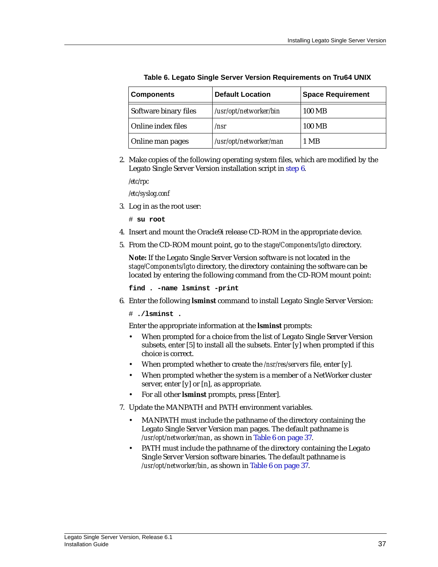<span id="page-36-0"></span>

| <b>Components</b>     | <b>Default Location</b> | <b>Space Requirement</b> |
|-----------------------|-------------------------|--------------------------|
| Software binary files | /usr/opt/networker/bin  | 100 MB                   |
| Online index files    | /nsr                    | 100 MB                   |
| Online man pages      | /usr/opt/networker/man  | 1 MB                     |

**Table 6. Legato Single Server Version Requirements on Tru64 UNIX**

2. Make copies of the following operating system files, which are modified by the Legato Single Server Version installation script in [step 6](#page-36-1).

*/etc/rpc*

*/etc/syslog.conf*

3. Log in as the root user:

# **su root**

- 4. Insert and mount the Oracle9i release CD-ROM in the appropriate device.
- 5. From the CD-ROM mount point, go to the *stage/Components/lgto* directory.

**Note:** If the Legato Single Server Version software is not located in the *stage/Components/lgto* directory, the directory containing the software can be located by entering the following command from the CD-ROM mount point:

**find . -name lsminst -print**

<span id="page-36-1"></span>6. Enter the following **lsminst** command to install Legato Single Server Version:

# **./lsminst .**

Enter the appropriate information at the **lsminst** prompts:

- When prompted for a choice from the list of Legato Single Server Version subsets, enter [5] to install all the subsets. Enter [y] when prompted if this choice is correct.
- When prompted whether to create the */nsr/res/servers* file, enter [y].
- When prompted whether the system is a member of a NetWorker cluster server, enter [y] or [n], as appropriate.
- For all other **lsminst** prompts, press [Enter].
- 7. Update the MANPATH and PATH environment variables.
	- MANPATH must include the pathname of the directory containing the Legato Single Server Version man pages. The default pathname is */usr/opt/networker/man*, as shown in [Table 6 on page 37.](#page-36-0)
	- PATH must include the pathname of the directory containing the Legato Single Server Version software binaries. The default pathname is */usr/opt/networker/bin*, as shown in [Table 6 on page 37.](#page-36-0)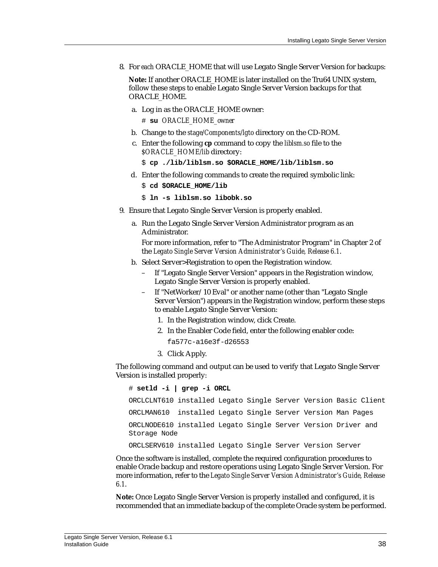8. For *each* ORACLE\_HOME that will use Legato Single Server Version for backups:

**Note:** If another ORACLE\_HOME is later installed on the Tru64 UNIX system, follow these steps to enable Legato Single Server Version backups for that ORACLE\_HOME.

a. Log in as the ORACLE\_HOME owner:

# **su** *ORACLE\_HOME\_owner*

- b. Change to the *stage/Components/lgto* directory on the CD-ROM.
- c. Enter the following **cp** command to copy the *liblsm.so* file to the *\$ORACLE\_HOME/lib* directory:

```
$ cp ./lib/liblsm.so $ORACLE_HOME/lib/liblsm.so
```
d. Enter the following commands to create the required symbolic link:

```
$ cd $ORACLE_HOME/lib
```

```
$ ln -s liblsm.so libobk.so
```
- 9. Ensure that Legato Single Server Version is properly enabled.
	- a. Run the Legato Single Server Version Administrator program as an Administrator.

For more information, refer to "The Administrator Program" in Chapter 2 of the *Legato Single Server Version Administrator's Guide, Release 6.1*.

- b. Select Server>Registration to open the Registration window.
	- If "Legato Single Server Version" appears in the Registration window, Legato Single Server Version is properly enabled.
	- If "NetWorker/10 Eval" or another name (other than "Legato Single Server Version") appears in the Registration window, perform these steps to enable Legato Single Server Version:
		- 1. In the Registration window, click Create.
		- 2. In the Enabler Code field, enter the following enabler code:
			- fa577c-a16e3f-d26553
		- 3. Click Apply.

The following command and output can be used to verify that Legato Single Server Version is installed properly:

# **setld -i | grep -i ORCL** ORCLCLNT610 installed Legato Single Server Version Basic Client ORCLMAN610 installed Legato Single Server Version Man Pages ORCLNODE610 installed Legato Single Server Version Driver and Storage Node

ORCLSERV610 installed Legato Single Server Version Server

Once the software is installed, complete the required configuration procedures to enable Oracle backup and restore operations using Legato Single Server Version. For more information, refer to the *Legato Single Server Version Administrator's Guide, Release 6.1*.

**Note:** Once Legato Single Server Version is properly installed and configured, it is recommended that an immediate backup of the complete Oracle system be performed.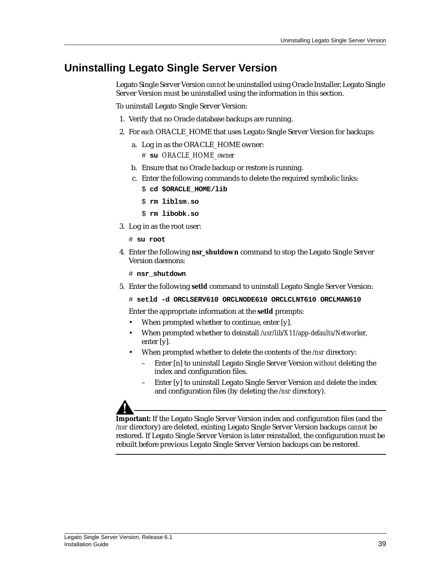# <span id="page-38-0"></span>**Uninstalling Legato Single Server Version**

Legato Single Server Version *cannot* be uninstalled using Oracle Installer. Legato Single Server Version must be uninstalled using the information in this section.

To uninstall Legato Single Server Version:

- 1. Verify that no Oracle database backups are running.
- 2. For *each* ORACLE\_HOME that uses Legato Single Server Version for backups:
	- a. Log in as the ORACLE\_HOME owner: # **su** *ORACLE\_HOME\_owner*
	- b. Ensure that no Oracle backup or restore is running.
	- c. Enter the following commands to delete the required symbolic links:
		- \$ **cd \$ORACLE\_HOME/lib**
		- \$ **rm liblsm.so**
		- \$ **rm libobk.so**
- 3. Log in as the root user:
	- # **su root**
- 4. Enter the following **nsr\_shutdown** command to stop the Legato Single Server Version daemons:
	- # **nsr\_shutdown**
- 5. Enter the following **setld** command to uninstall Legato Single Server Version:
	- # **setld -d ORCLSERV610 ORCLNODE610 ORCLCLNT610 ORCLMAN610**

Enter the appropriate information at the **setld** prompts:

- When prompted whether to continue, enter [y].
- When prompted whether to deinstall */usr/lib/X11/app-defaults/Networker*, enter [y].
- When prompted whether to delete the contents of the */nsr* directory:
	- Enter [n] to uninstall Legato Single Server Version *without* deleting the index and configuration files.
	- Enter [y] to uninstall Legato Single Server Version *and* delete the index and configuration files (by deleting the */nsr* directory).

**Important:** If the Legato Single Server Version index and configuration files (and the */nsr* directory) are deleted, existing Legato Single Server Version backups *cannot* be restored. If Legato Single Server Version is later reinstalled, the configuration must be rebuilt before previous Legato Single Server Version backups can be restored.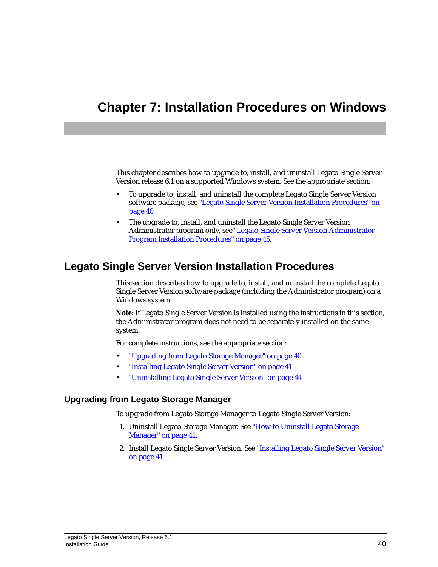# <span id="page-39-3"></span><span id="page-39-0"></span>**Chapter 7: Installation Procedures on Windows**

This chapter describes how to upgrade to, install, and uninstall Legato Single Server Version release 6.1 on a supported Windows system. See the appropriate section:

- To upgrade to, install, and uninstall the complete Legato Single Server Version software package, see ["Legato Single Server Version Installation Procedures" on](#page-39-1) [page 40.](#page-39-1)
- The upgrade to, install, and uninstall the Legato Single Server Version Administrator program only, see ["Legato Single Server Version Administrator](#page-44-0) [Program Installation Procedures" on page 45.](#page-44-0)

# <span id="page-39-1"></span>**Legato Single Server Version Installation Procedures**

This section describes how to upgrade to, install, and uninstall the complete Legato Single Server Version software package (including the Administrator program) on a Windows system.

**Note:** If Legato Single Server Version is installed using the instructions in this section, the Administrator program does not need to be separately installed on the same system.

For complete instructions, see the appropriate section:

- ["Upgrading from Legato Storage Manager" on page 40](#page-39-2)
- ["Installing Legato Single Server Version" on page 41](#page-40-1)
- ["Uninstalling Legato Single Server Version" on page 44](#page-43-0)

### <span id="page-39-2"></span>**Upgrading from Legato Storage Manager**

To upgrade from Legato Storage Manager to Legato Single Server Version:

- 1. Uninstall Legato Storage Manager. See ["How to Uninstall Legato Storage](#page-40-0) [Manager" on page 41](#page-40-0).
- 2. Install Legato Single Server Version. See ["Installing Legato Single Server Version"](#page-40-1) [on page 41.](#page-40-1)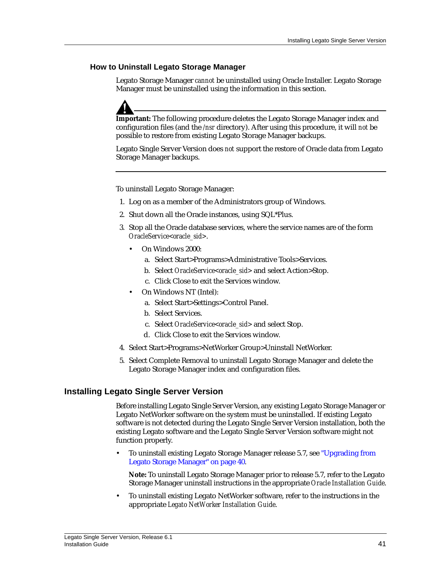### <span id="page-40-0"></span>**How to Uninstall Legato Storage Manager**

Legato Storage Manager *cannot* be uninstalled using Oracle Installer. Legato Storage Manager must be uninstalled using the information in this section.



**Important:** The following procedure deletes the Legato Storage Manager index and configuration files (and the */nsr* directory). After using this procedure, it will *not* be possible to restore from existing Legato Storage Manager backups.

Legato Single Server Version does *not* support the restore of Oracle data from Legato Storage Manager backups.

To uninstall Legato Storage Manager:

- 1. Log on as a member of the Administrators group of Windows.
- 2. Shut down all the Oracle instances, using SQL\*Plus.
- 3. Stop all the Oracle database services, where the service names are of the form *OracleService<oracle\_sid>*.
	- On Windows 2000:
		- a. Select Start>Programs>Administrative Tools>Services.
		- b. Select *OracleService<oracle\_sid>* and select Action>Stop.
		- c. Click Close to exit the Services window.
	- On Windows NT (Intel):
		- a. Select Start>Settings>Control Panel.
		- b. Select Services.
		- c. Select *OracleService<oracle\_sid>* and select Stop.
		- d. Click Close to exit the Services window.
- 4. Select Start>Programs>NetWorker Group>Uninstall NetWorker.
- 5. Select Complete Removal to uninstall Legato Storage Manager and delete the Legato Storage Manager index and configuration files.

### <span id="page-40-1"></span>**Installing Legato Single Server Version**

Before installing Legato Single Server Version, any existing Legato Storage Manager or Legato NetWorker software on the system must be uninstalled. If existing Legato software is not detected during the Legato Single Server Version installation, both the existing Legato software and the Legato Single Server Version software might not function properly.

• To uninstall existing Legato Storage Manager release 5.7, see ["Upgrading from](#page-39-2) [Legato Storage Manager" on page 40.](#page-39-2)

**Note:** To uninstall Legato Storage Manager prior to release 5.7, refer to the Legato Storage Manager uninstall instructions in the appropriate *Oracle Installation Guide*.

• To uninstall existing Legato NetWorker software, refer to the instructions in the appropriate *Legato NetWorker Installation Guide*.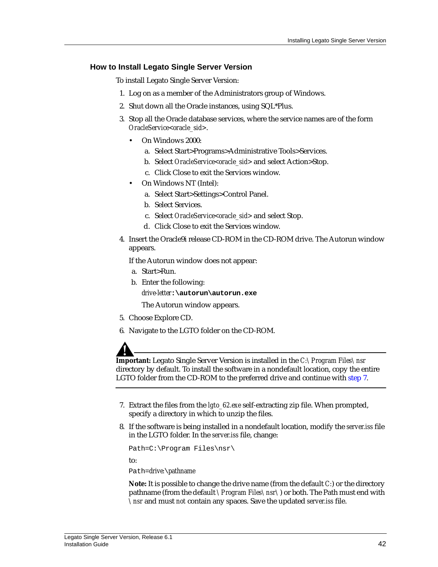### <span id="page-41-0"></span>**How to Install Legato Single Server Version**

To install Legato Single Server Version:

- 1. Log on as a member of the Administrators group of Windows.
- 2. Shut down all the Oracle instances, using SQL\*Plus.
- 3. Stop all the Oracle database services, where the service names are of the form *OracleService<oracle\_sid>*.
	- On Windows 2000:
		- a. Select Start>Programs>Administrative Tools>Services.
		- b. Select *OracleService<oracle\_sid>* and select Action>Stop.
		- c. Click Close to exit the Services window.
	- On Windows NT (Intel):
		- a. Select Start>Settings>Control Panel.
		- b. Select Services.
		- c. Select *OracleService<oracle\_sid>* and select Stop.
		- d. Click Close to exit the Services window.
- 4. Insert the Oracle9i release CD-ROM in the CD-ROM drive. The Autorun window appears.

If the Autorun window does not appear:

- a. Start>Run.
- b. Enter the following: *drive-letter***:\autorun\autorun.exe**

The Autorun window appears.

- 5. Choose Explore CD.
- 6. Navigate to the LGTO folder on the CD-ROM.

**Important:** Legato Single Server Version is installed in the *C:\Program Files\nsr* directory by default. To install the software in a nondefault location, copy the entire LGTO folder from the CD-ROM to the preferred drive and continue with [step 7](#page-41-1).

- <span id="page-41-1"></span>7. Extract the files from the *lgto\_62.exe* self-extracting zip file. When prompted, specify a directory in which to unzip the files.
- 8. If the software is being installed in a nondefault location, modify the *server.iss* file in the LGTO folder. In the *server.iss* file, change:

Path=C:\Program Files\nsr\

to:

Path=*drive:*\*pathname*

**Note:** It is possible to change the drive name (from the default *C:*) or the directory pathname (from the default *\Program Files\nsr\*) or both. The Path must end with *\nsr* and must *not* contain any spaces. Save the updated *server.iss* file.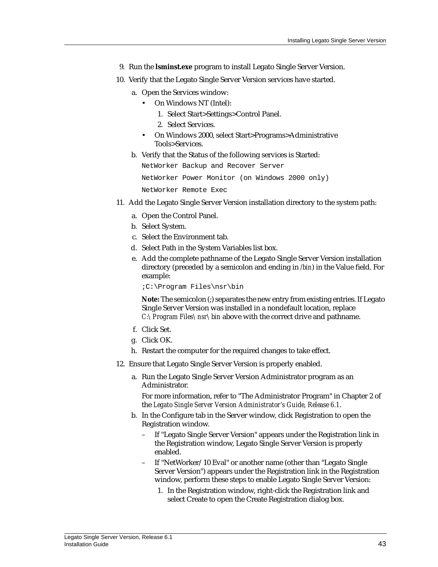- 9. Run the **lsminst.exe** program to install Legato Single Server Version.
- 10. Verify that the Legato Single Server Version services have started.
	- a. Open the Services window:
		- On Windows NT (Intel):
			- 1. Select Start>Settings>Control Panel.
			- 2. Select Services.
		- On Windows 2000, select Start>Programs>Administrative Tools>Services.
	- b. Verify that the Status of the following services is Started:

NetWorker Backup and Recover Server

NetWorker Power Monitor (on Windows 2000 only)

NetWorker Remote Exec

- 11. Add the Legato Single Server Version installation directory to the system path:
	- a. Open the Control Panel.
	- b. Select System.
	- c. Select the Environment tab.
	- d. Select Path in the System Variables list box.
	- e. Add the complete pathname of the Legato Single Server Version installation directory (preceded by a semicolon and ending in */bin*) in the Value field. For example:

;C:\Program Files\nsr\bin

**Note:** The semicolon (;) separates the new entry from existing entries. If Legato Single Server Version was installed in a nondefault location, replace *C:\Program Files\nsr\bin* above with the correct drive and pathname.

- f. Click Set.
- g. Click OK.
- h. Restart the computer for the required changes to take effect.
- 12. Ensure that Legato Single Server Version is properly enabled.
	- a. Run the Legato Single Server Version Administrator program as an Administrator.

For more information, refer to "The Administrator Program" in Chapter 2 of the *Legato Single Server Version Administrator's Guide, Release 6.1*.

- b. In the Configure tab in the Server window, click Registration to open the Registration window.
	- If "Legato Single Server Version" appears under the Registration link in the Registration window, Legato Single Server Version is properly enabled.
	- If "NetWorker/10 Eval" or another name (other than "Legato Single Server Version") appears under the Registration link in the Registration window, perform these steps to enable Legato Single Server Version:
		- 1. In the Registration window, right-click the Registration link and select Create to open the Create Registration dialog box.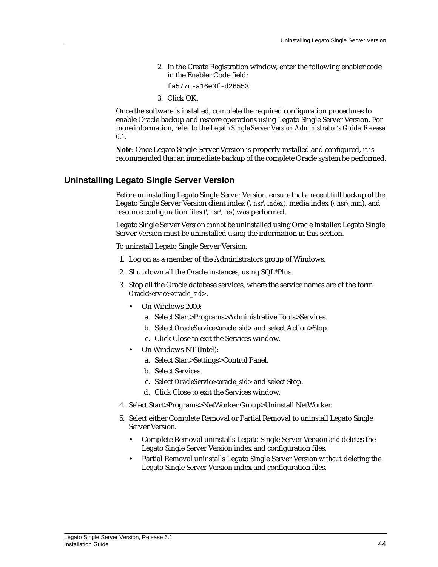2. In the Create Registration window, enter the following enabler code in the Enabler Code field:

```
fa577c-a16e3f-d26553
```
3. Click OK.

Once the software is installed, complete the required configuration procedures to enable Oracle backup and restore operations using Legato Single Server Version. For more information, refer to the *Legato Single Server Version Administrator's Guide, Release 6.1*.

**Note:** Once Legato Single Server Version is properly installed and configured, it is recommended that an immediate backup of the complete Oracle system be performed.

### <span id="page-43-0"></span>**Uninstalling Legato Single Server Version**

Before uninstalling Legato Single Server Version, ensure that a recent full backup of the Legato Single Server Version client index (*\nsr\index*), media index (*\nsr\mm*), and resource configuration files (*\nsr\res*) was performed.

Legato Single Server Version *cannot* be uninstalled using Oracle Installer. Legato Single Server Version must be uninstalled using the information in this section.

To uninstall Legato Single Server Version:

- 1. Log on as a member of the Administrators group of Windows.
- 2. Shut down all the Oracle instances, using SQL\*Plus.
- 3. Stop all the Oracle database services, where the service names are of the form *OracleService<oracle\_sid>*.
	- On Windows 2000:
		- a. Select Start>Programs>Administrative Tools>Services.
		- b. Select *OracleService<oracle\_sid>* and select Action>Stop.
		- c. Click Close to exit the Services window.
	- On Windows NT (Intel):
		- a. Select Start>Settings>Control Panel.
		- b. Select Services.
		- c. Select *OracleService<oracle\_sid>* and select Stop.
		- d. Click Close to exit the Services window.
- 4. Select Start>Programs>NetWorker Group>Uninstall NetWorker.
- <span id="page-43-1"></span>5. Select either Complete Removal or Partial Removal to uninstall Legato Single Server Version.
	- Complete Removal uninstalls Legato Single Server Version *and* deletes the Legato Single Server Version index and configuration files.
	- Partial Removal uninstalls Legato Single Server Version *without* deleting the Legato Single Server Version index and configuration files.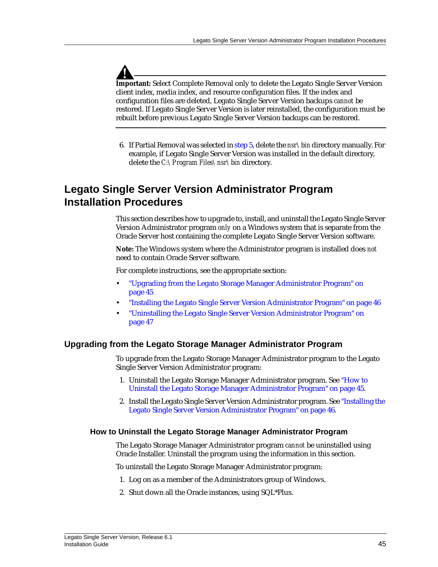**Important:** Select Complete Removal only to delete the Legato Single Server Version client index, media index, and resource configuration files. If the index and configuration files are deleted, Legato Single Server Version backups *cannot* be restored. If Legato Single Server Version is later reinstalled, the configuration must be rebuilt before previous Legato Single Server Version backups can be restored.

6. If Partial Removal was selected in [step 5,](#page-43-1) delete the *nsr\bin* directory manually. For example, if Legato Single Server Version was installed in the default directory, delete the *C:\Program Files\nsr\bin* directory.

# <span id="page-44-0"></span>**Legato Single Server Version Administrator Program Installation Procedures**

This section describes how to upgrade to, install, and uninstall the Legato Single Server Version Administrator program *only* on a Windows system that is separate from the Oracle Server host containing the complete Legato Single Server Version software.

**Note:** The Windows system where the Administrator program is installed does *not* need to contain Oracle Server software.

For complete instructions, see the appropriate section:

- ["Upgrading from the Legato Storage Manager Administrator Program" on](#page-44-1) [page 45](#page-44-1)
- ["Installing the Legato Single Server Version Administrator Program" on page 46](#page-45-0)
- ["Uninstalling the Legato Single Server Version Administrator Program" on](#page-46-0) [page 47](#page-46-0)

### <span id="page-44-1"></span>**Upgrading from the Legato Storage Manager Administrator Program**

To upgrade from the Legato Storage Manager Administrator program to the Legato Single Server Version Administrator program:

- 1. Uninstall the Legato Storage Manager Administrator program. See ["How to](#page-44-2) [Uninstall the Legato Storage Manager Administrator Program" on page 45](#page-44-2).
- 2. Install the Legato Single Server Version Administrator program. See ["Installing the](#page-45-0) [Legato Single Server Version Administrator Program" on page 46.](#page-45-0)

### <span id="page-44-2"></span>**How to Uninstall the Legato Storage Manager Administrator Program**

The Legato Storage Manager Administrator program *cannot* be uninstalled using Oracle Installer. Uninstall the program using the information in this section.

To uninstall the Legato Storage Manager Administrator program:

- 1. Log on as a member of the Administrators group of Windows.
- 2. Shut down all the Oracle instances, using SQL\*Plus.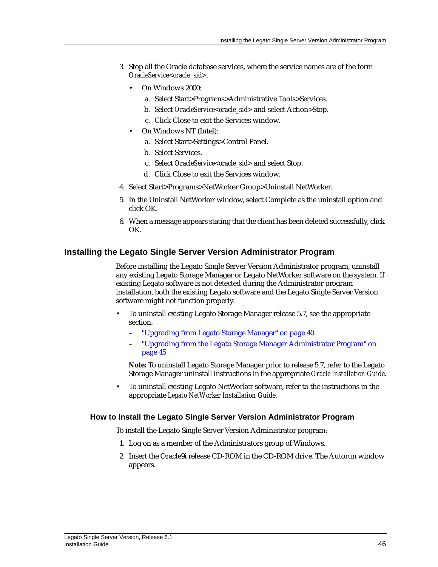- 3. Stop all the Oracle database services, where the service names are of the form *OracleService<oracle\_sid>*.
	- On Windows 2000:
		- a. Select Start>Programs>Administrative Tools>Services.
		- b. Select *OracleService<oracle\_sid>* and select Action>Stop.
		- c. Click Close to exit the Services window.
	- On Windows NT (Intel):
		- a. Select Start>Settings>Control Panel.
		- b. Select Services.
		- c. Select *OracleService<oracle\_sid>* and select Stop.
		- d. Click Close to exit the Services window.
- 4. Select Start>Programs>NetWorker Group>Uninstall NetWorker.
- 5. In the Uninstall NetWorker window, select Complete as the uninstall option and click OK.
- 6. When a message appears stating that the client has been deleted successfully, click OK.

### <span id="page-45-0"></span>**Installing the Legato Single Server Version Administrator Program**

Before installing the Legato Single Server Version Administrator program, uninstall any existing Legato Storage Manager or Legato NetWorker software on the system. If existing Legato software is not detected during the Administrator program installation, both the existing Legato software and the Legato Single Server Version software might not function properly.

- To uninstall existing Legato Storage Manager release 5.7, see the appropriate section:
	- ["Upgrading from Legato Storage Manager" on page 40](#page-39-2)
	- ["Upgrading from the Legato Storage Manager Administrator Program" on](#page-44-1) [page 45](#page-44-1)

**Note:** To uninstall Legato Storage Manager prior to release 5.7, refer to the Legato Storage Manager uninstall instructions in the appropriate *Oracle Installation Guide*.

• To uninstall existing Legato NetWorker software, refer to the instructions in the appropriate *Legato NetWorker Installation Guide*.

### <span id="page-45-1"></span>**How to Install the Legato Single Server Version Administrator Program**

To install the Legato Single Server Version Administrator program:

- 1. Log on as a member of the Administrators group of Windows.
- 2. Insert the Oracle9i release CD-ROM in the CD-ROM drive. The Autorun window appears.